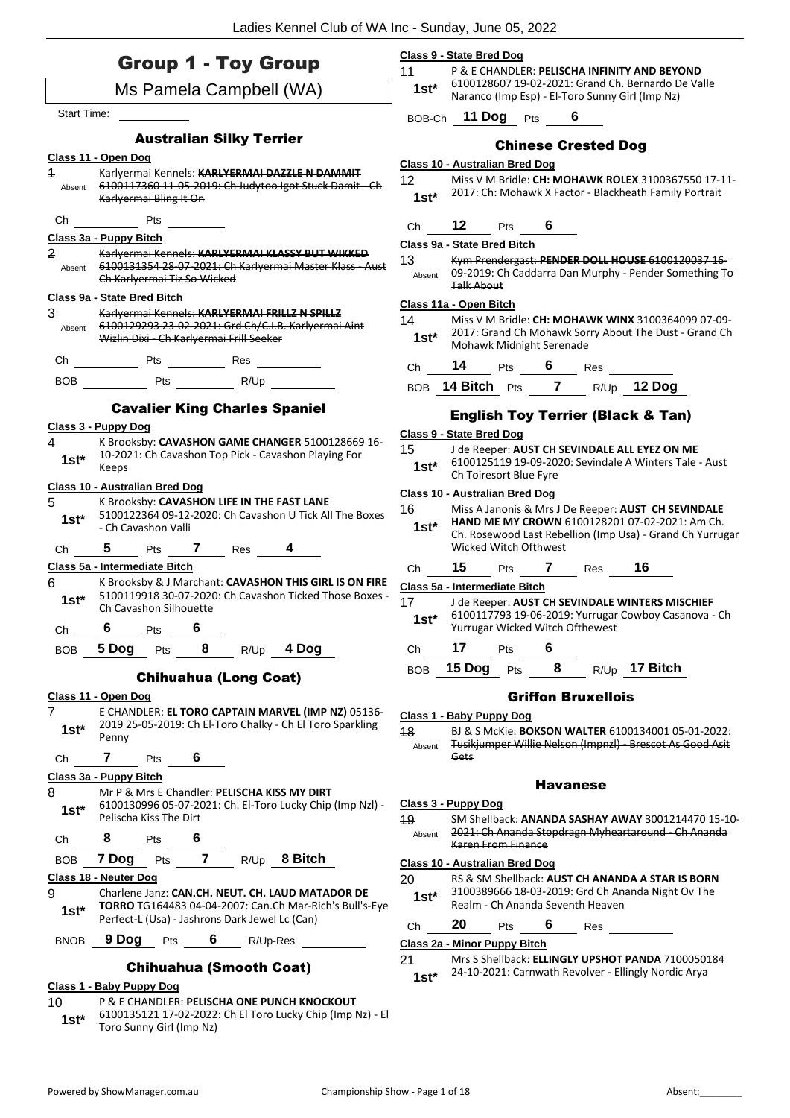|                          | <b>Group 1 - Toy Group</b>                                                                                                                         | Class 9 - State Bred Dog<br>11<br>P & E CHANDLER: PELISCHA INFINITY AND BEYOND                                                                                                      |
|--------------------------|----------------------------------------------------------------------------------------------------------------------------------------------------|-------------------------------------------------------------------------------------------------------------------------------------------------------------------------------------|
|                          | Ms Pamela Campbell (WA)                                                                                                                            | 1st* 6100128607 19-02-2021: Grand Ch. Bernardo De Valle<br>Naranco (Imp Esp) - El-Toro Sunny Girl (Imp Nz)                                                                          |
| Start Time:              |                                                                                                                                                    | BOB-Ch 11 Dog Pts 6                                                                                                                                                                 |
|                          | <b>Australian Silky Terrier</b>                                                                                                                    | <b>Chinese Crested Dog</b>                                                                                                                                                          |
|                          | Class 11 - Open Dog                                                                                                                                | <b>Class 10 - Australian Bred Dog</b>                                                                                                                                               |
| $\overline{1}$<br>Absent | Karlyermai Kennels: KARLYERMAI DAZZLE N DAMMIT<br>6100117360 11 05 2019: Ch Judytoo Igot Stuck Damit Ch<br>Karlyermai Bling It On                  | 12 <sup>2</sup><br>Miss V M Bridle: CH: MOHAWK ROLEX 3100367550 17-11-<br>2017: Ch: Mohawk X Factor - Blackheath Family Portrait<br>$1st^*$                                         |
| Ch                       | <u>Pts</u>                                                                                                                                         | 12 $Pts$ 6<br>Ch                                                                                                                                                                    |
|                          | Class 3a - Puppy Bitch                                                                                                                             | Class 9a - State Bred Bitch                                                                                                                                                         |
| 2<br>Absent              | Karlyermai Kennels: KARLYERMAI KLASSY BUT WIKKED<br>6100131354 28-07-2021: Ch Karlyermai Master Klass - Aust<br>Ch Karlyermai Tiz So Wicked        | 13<br>Kym Prendergast: PENDER DOLL HOUSE 6100120037 16<br>09-2019: Ch Caddarra Dan Murphy - Pender Something To<br>Absent<br><b>Talk About</b>                                      |
|                          | Class 9a - State Bred Bitch                                                                                                                        | Class 11a - Open Bitch                                                                                                                                                              |
| 3<br>Absent              | Karlyermai Kennels: KARLYERMAI FRILLZ N SPILLZ<br>6100129293 23-02-2021: Grd Ch/C.I.B. Karlyermai Aint<br>Wizlin Dixi - Ch Karlyermai Frill Seeker | 14<br>Miss V M Bridle: CH: MOHAWK WINX 3100364099 07-09-<br>2017: Grand Ch Mohawk Sorry About The Dust - Grand Ch<br>$1st^*$<br>Mohawk Midnight Serenade                            |
|                          |                                                                                                                                                    | 14 Pts $\frac{6}{10}$ Res<br>Ch                                                                                                                                                     |
|                          |                                                                                                                                                    | BOB 14 Bitch Pts 7 R/Up 12 Dog                                                                                                                                                      |
|                          | <b>Cavalier King Charles Spaniel</b>                                                                                                               | <b>English Toy Terrier (Black &amp; Tan)</b>                                                                                                                                        |
|                          | Class 3 - Puppy Dog                                                                                                                                | Class 9 - State Bred Dog                                                                                                                                                            |
| 4<br>$1st*$              | K Brooksby: CAVASHON GAME CHANGER 5100128669 16-<br>10-2021: Ch Cavashon Top Pick - Cavashon Playing For<br>Keeps                                  | 15<br>J de Reeper: AUST CH SEVINDALE ALL EYEZ ON ME<br>6100125119 19-09-2020: Sevindale A Winters Tale - Aust<br>$1st*$<br>Ch Toiresort Blue Fyre                                   |
|                          | Class 10 - Australian Bred Dog                                                                                                                     | <b>Class 10 - Australian Bred Dog</b>                                                                                                                                               |
| 5<br>$1st*$              | K Brooksby: CAVASHON LIFE IN THE FAST LANE<br>5100122364 09-12-2020: Ch Cavashon U Tick All The Boxes<br>- Ch Cavashon Valli                       | 16<br>Miss A Janonis & Mrs J De Reeper: AUST CH SEVINDALE<br>HAND ME MY CROWN 6100128201 07-02-2021: Am Ch.<br>$1st^*$<br>Ch. Rosewood Last Rebellion (Imp Usa) - Grand Ch Yurrugar |
| Ch                       | 5 Pts 7 Res 4                                                                                                                                      | Wicked Witch Ofthwest                                                                                                                                                               |
| 6                        | Class 5a - Intermediate Bitch<br>K Brooksby & J Marchant: CAVASHON THIS GIRL IS ON FIRE                                                            | 15 Pts 7 Res 16<br>Ch                                                                                                                                                               |
| $1st^*$                  | 5100119918 30-07-2020: Ch Cavashon Ticked Those Boxes -<br>Ch Cavashon Silhouette                                                                  | Class 5a - Intermediate Bitch<br>17<br>J de Reeper: AUST CH SEVINDALE WINTERS MISCHIEF<br>6100117793 19-06-2019: Yurrugar Cowboy Casanova - Ch<br>$1st*$                            |
| Ch                       | 6<br>6<br>Pts                                                                                                                                      | Yurrugar Wicked Witch Ofthewest<br>17<br>6                                                                                                                                          |
| <b>BOB</b>               | 5 Dog<br>8<br>4 Dog<br>Pts<br>R/Up                                                                                                                 | Pts<br>Ch<br>15 Dog<br>R/Up 17 Bitch<br>8<br><b>BOB</b>                                                                                                                             |
|                          | <b>Chihuahua (Long Coat)</b>                                                                                                                       | Pts                                                                                                                                                                                 |
|                          | Class 11 - Open Dog                                                                                                                                | <b>Griffon Bruxellois</b>                                                                                                                                                           |
| 7                        | E CHANDLER: EL TORO CAPTAIN MARVEL (IMP NZ) 05136-<br>2019 25-05-2019: Ch El-Toro Chalky - Ch El Toro Sparkling                                    | Class 1 - Baby Puppy Dog                                                                                                                                                            |
| $1st*$                   | Penny                                                                                                                                              | 18<br>BL& S McKie: <b>BOKSON WALTER</b> 6100134001 05-01-2022:                                                                                                                      |
|                          |                                                                                                                                                    |                                                                                                                                                                                     |
| Ch                       | 7<br>Pts<br>6                                                                                                                                      | Tusikjumper Willie Nelson (Impnzl) - Brescot As Good Asit<br>Absent<br>Gets                                                                                                         |
|                          | Class 3a - Puppy Bitch                                                                                                                             |                                                                                                                                                                                     |
|                          | Mr P & Mrs E Chandler: PELISCHA KISS MY DIRT                                                                                                       | <b>Havanese</b>                                                                                                                                                                     |
| $1st*$                   | 6100130996 05-07-2021: Ch. El-Toro Lucky Chip (Imp NzI) -                                                                                          | Class 3 - Puppy Dog                                                                                                                                                                 |
|                          | Pelischa Kiss The Dirt<br>8<br>Pts                                                                                                                 | 19<br>2021: Ch Ananda Stopdragn Myheartaround Ch Ananda<br>Absent                                                                                                                   |
| Ch<br><b>BOB</b>         | $\overline{7}$<br>R/Up 8 Bitch<br>7 Dog<br>Pts                                                                                                     | Karen From Finance                                                                                                                                                                  |
|                          | Class 18 - Neuter Dog                                                                                                                              | Class 10 - Australian Bred Dog                                                                                                                                                      |
| 8<br>9<br>$1st*$         | Charlene Janz: CAN.CH. NEUT. CH. LAUD MATADOR DE<br>TORRO TG164483 04-04-2007: Can.Ch Mar-Rich's Bull's-Eye                                        | 20<br>RS & SM Shellback: AUST CH ANANDA A STAR IS BORN<br>3100389666 18-03-2019: Grd Ch Ananda Night Ov The<br>$1st^*$<br>Realm - Ch Ananda Seventh Heaven                          |
|                          | Perfect-L (Usa) - Jashrons Dark Jewel Lc (Can)                                                                                                     | SM Shellback: ANANDA SASHAY AWAY 3001214470 15-10-<br>20<br>6<br>Ch<br>Pts<br>Res                                                                                                   |
| <b>BNOB</b>              | 9 Dog<br>6<br>Pts<br>R/Up-Res<br><b>Chihuahua (Smooth Coat)</b>                                                                                    | Class 2a - Minor Puppy Bitch<br>21<br>Mrs S Shellback: ELLINGLY UPSHOT PANDA 7100050184<br>24-10-2021: Carnwath Revolver - Ellingly Nordic Arya<br>$1st*$                           |

Toro Sunny Girl (Imp Nz) **1st\***

6100135121 17-02-2022: Ch El Toro Lucky Chip (Imp Nz) - El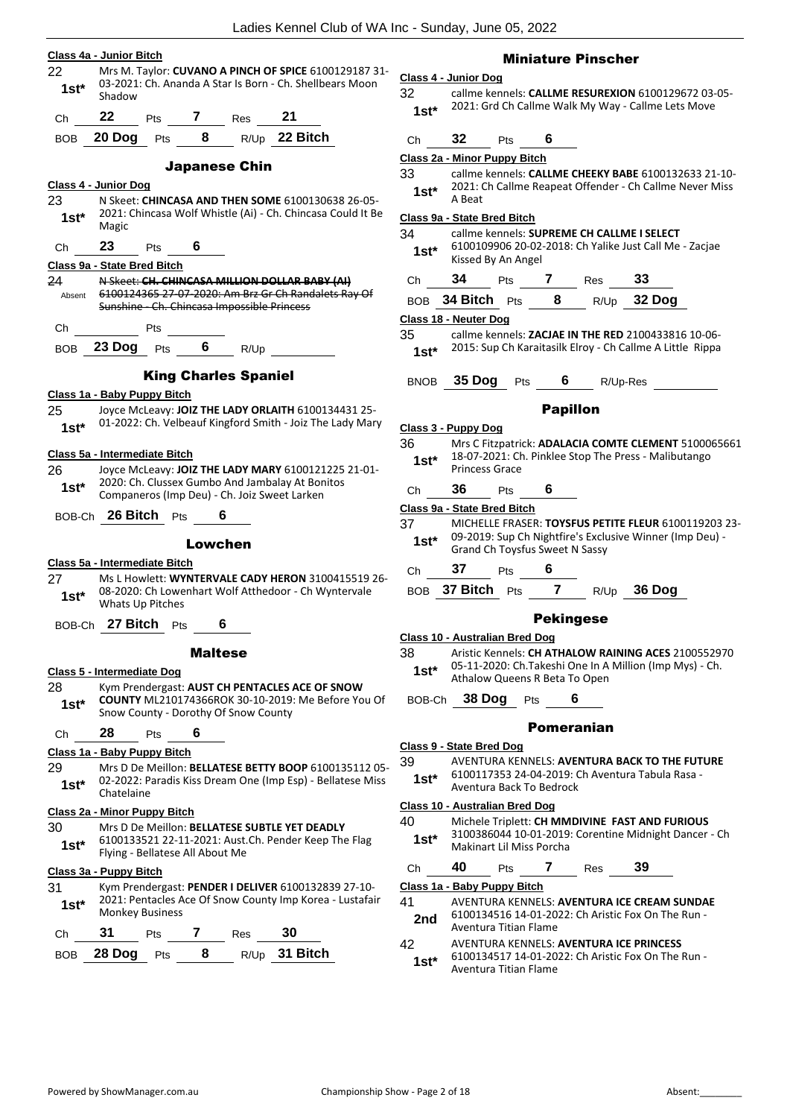# **Class 4a - Junior Bitch** 22 Mrs M. Taylor: **CUVANO A PINCH OF SPICE** 6100129187 31- 03-2021: Ch. Ananda A Star Is Born - Ch. Shellbears Moon 1st<sup>\*</sup> Shadow Ch **22** Pts **7** Res **21** BOB **20 Dog** Pts **8** R/Up **22 Bitch** Japanese Chin **Class 4 - Junior Dog** 23 N Skeet: **CHINCASA AND THEN SOME** 6100130638 26-05- 1st<sup>\*</sup> <sup>2021:</sup><br>Magic Ch **23** Pts **6 Class 9a - State Bred Bitch** 24 N Skeet: **CH. CHINCASA MILLION DOLLAR BABY (AI)** Absent

- 2021: Chincasa Wolf Whistle (Ai) Ch. Chincasa Could It Be
- 6100124365 27-07-2020: Am Brz Gr Ch Randalets Ray Of Sunshine - Ch. Chincasa Impossible Princess Ch Pts
- BOB **23 Dog** Pts **6** R/Up

# King Charles Spaniel

# **Class 1a - Baby Puppy Bitch**

- 25 Joyce McLeavy: **JOIZ THE LADY ORLAITH** 6100134431 25-
- 01-2022: Ch. Velbeauf Kingford Smith Joiz The Lady Mary **1st\***

#### **Class 5a - Intermediate Bitch**

26 Joyce McLeavy: **JOIZ THE LADY MARY** 6100121225 21-01- 2020: Ch. Clussex Gumbo And Jambalay At Bonitos **1st** 2020: Ch. Clussex Gumbo And Jambalay At Bor<br>Companeros (Imp Deu) - Ch. Joiz Sweet Larken

# BOB-Ch **26 Bitch** Pts **6**

# Lowchen

# **Class 5a - Intermediate Bitch**

27 Ms L Howlett: **WYNTERVALE CADY HERON** 3100415519 26- 08-2020: Ch Lowenhart Wolf Atthedoor - Ch Wyntervale Whats Up Pitches **1st\***

BOB-Ch **27 Bitch** Pts **6**

# Maltese

# **Class 5 - Intermediate Dog**

28 Kym Prendergast: **AUST CH PENTACLES ACE OF SNOW COUNTY** ML210174366ROK 30-10-2019: Me Before You Of Snow County - Dorothy Of Snow County **1st\***

# Ch **28** Pts **6**

# **Class 1a - Baby Puppy Bitch**

29 Mrs D De Meillon: **BELLATESE BETTY BOOP** 6100135112 05- 02-2022: Paradis Kiss Dream One (Imp Esp) - Bellatese Miss 1st\* <sup>02-2022. r</sup><br>Chatelaine

#### **Class 2a - Minor Puppy Bitch**

```
30 Mrs D De Meillon: BELLATESE SUBTLE YET DEADLY
       6100133521 22-11-2021: Aust.Ch. Pender Keep The Flag 
Flying - Bellatese All About Me 1st*
```
#### **Class 3a - Puppy Bitch**

31 Kym Prendergast: **PENDER I DELIVER** 6100132839 27-10- 2021: Pentacles Ace Of Snow County Imp Korea - Lustafair **1st**\* <sup>2021: Pentacles A<br>Monkey Business</sup>

| Ch — | 31             | <b>Pts</b> |   | $Res$ 30 |               |
|------|----------------|------------|---|----------|---------------|
|      | BOB 28 Dog Pts |            | 8 |          | R/Up 31 Bitch |

# Miniature Pinscher

# **Class 4 - Junior Dog**

- 32 callme kennels: **CALLME RESUREXION** 6100129672 03-05- 1st\* 2021: Grd Ch Callme Walk My Way - Callme Lets Move
- Ch **32** Pts **6**

# **Class 2a - Minor Puppy Bitch**

- 33 callme kennels: **CALLME CHEEKY BABE** 6100132633 21-10- 2021: Ch Callme Reapeat Offender - Ch Callme Never Miss
	- $1$  St<sup>\*</sup>  $\frac{202111}{\text{A heat}}$

# **Class 9a - State Bred Bitch**

- 34 callme kennels: **SUPREME CH CALLME I SELECT** 6100109906 20-02-2018: Ch Yalike Just Call Me - Zacjae
- **1st**\* bluuluyyub 20-02<br>Kissed By An Angel
- Ch **34** Pts **7** Res **33**
- BOB **34 Bitch** Pts **8** R/Up **32 Dog**

# **Class 18 - Neuter Dog**

- 35 callme kennels: **ZACJAE IN THE RED** 2100433816 10-06-
	- 2015: Sup Ch Karaitasilk Elroy Ch Callme A Little Rippa **1st\***

BNOB **35 Dog** Pts **6** R/Up-Res

# Papillon

# **Class 3 - Puppy Dog**

36 Mrs C Fitzpatrick: **ADALACIA COMTE CLEMENT** 5100065661 18-07-2021: Ch. Pinklee Stop The Press - Malibutango 1st<sup>\*</sup> <sup>18-07-2021: Cr</sup><br>Princess Grace

# Ch **36** Pts **6**

# **Class 9a - State Bred Bitch**

- 37 MICHELLE FRASER: **TOYSFUS PETITE FLEUR** 6100119203 23- 09-2019: Sup Ch Nightfire's Exclusive Winner (Imp Deu) - **1st**\* UP-2019: Sup Ch Nightlife's Excitently Grand Ch Toysfus Sweet N Sassy
- Ch **37** Pts **6**
- BOB **37 Bitch** Pts **7** R/Up **36 Dog**

# **Pekingese**

# **Class 10 - Australian Bred Dog**

38 Aristic Kennels: **CH ATHALOW RAINING ACES** 2100552970 05-11-2020: Ch.Takeshi One In A Million (Imp Mys) - Ch. Athalow Queens R Beta To Open **1st\***

BOB-Ch **38 Dog** Pts **6**

# Pomeranian

# **Class 9 - State Bred Dog**

- 39 AVENTURA KENNELS: **AVENTURA BACK TO THE FUTURE**
	- 6100117353 24-04-2019: Ch Aventura Tabula Rasa Aventura Back To Bedrock **1st\***

# **Class 10 - Australian Bred Dog**

| 40     | Michele Triplett: CH MMDIVINE FAST AND FURIOUS        |
|--------|-------------------------------------------------------|
| $1st*$ | 3100386044 10-01-2019: Corentine Midnight Dancer - Ch |
|        | Makinart Lil Miss Porcha                              |

| Сh  | 40 | <b>Pts</b>                  | Res | 39                                                 |  |
|-----|----|-----------------------------|-----|----------------------------------------------------|--|
|     |    | Class 1a - Baby Puppy Bitch |     |                                                    |  |
| 41  |    |                             |     | AVENTURA KENNELS: AVENTURA ICE CREAM SUNDAE        |  |
| 2nd |    |                             |     | 6100134516 14-01-2022: Ch Aristic Fox On The Run - |  |
|     |    | Aventura Titian Flame       |     |                                                    |  |

# 42 AVENTURA KENNELS: **AVENTURA ICE PRINCESS**

6100134517 14-01-2022: Ch Aristic Fox On The Run - Aventura Titian Flame **1st\***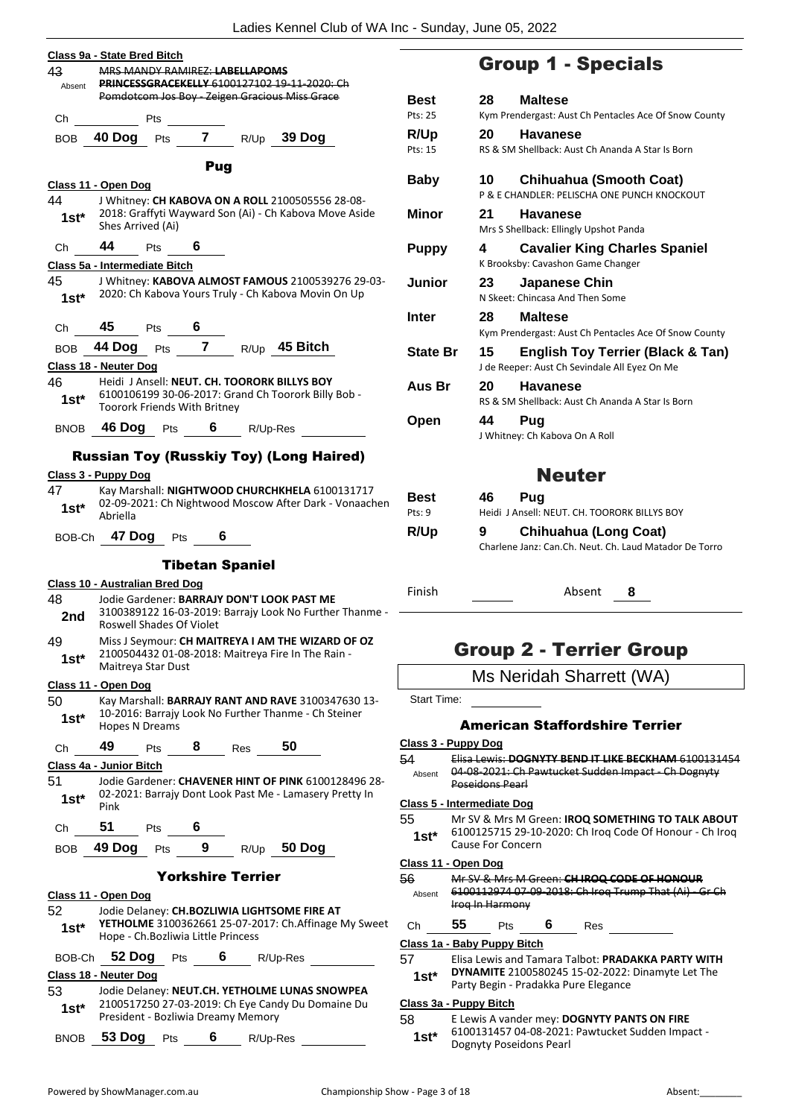|             | Class 9a - State Bred Bitch                                                                                                       |
|-------------|-----------------------------------------------------------------------------------------------------------------------------------|
| 43          | MRS MANDY RAMIREZ: LABELLAPOMS                                                                                                    |
|             | Absent PRINCESSGRACEKELLY 6100127102 19-11-2020: Ch<br>Pomdotcom Jos Boy - Zeigen Gracious Miss Grace                             |
|             | Ch Pts                                                                                                                            |
|             | BOB 40 Dog Pts 7 R/Up 39 Dog                                                                                                      |
|             |                                                                                                                                   |
|             | Pug                                                                                                                               |
|             | Class 11 - Open Dog                                                                                                               |
|             | 44 J Whitney: CH KABOVA ON A ROLL 2100505556 28-08-<br>1st* 2018: Graffyti Wayward Son (Ai) - Ch Kabova Move Aside                |
|             | Shes Arrived (Ai)                                                                                                                 |
|             | Ch 44 Pts 6                                                                                                                       |
|             | Class 5a - Intermediate Bitch                                                                                                     |
|             | 45 J Whitney: KABOVA ALMOST FAMOUS 2100539276 29-03-                                                                              |
|             | 1st* 2020: Ch Kabova Yours Truly - Ch Kabova Movin On Up                                                                          |
|             |                                                                                                                                   |
|             | Ch $\frac{45}{BOB}$ Pts $\frac{6}{7}$<br>BOB $\frac{44 \text{ Dog}}{1400}$ Pts $\frac{7}{7}$ R/Up $\frac{45 \text{ Bitch}}{1400}$ |
|             |                                                                                                                                   |
|             | Class 18 - Neuter Dog                                                                                                             |
|             | 46 Heidi J Ansell: NEUT. CH. TOORORK BILLYS BOY<br>6100106199 30-06-2017: Grand Ch Toorork Billy Bob -                            |
| 1st*        | Toorork Friends With Britney                                                                                                      |
|             | BNOB 46 Dog Pts 6 R/Up-Res                                                                                                        |
|             |                                                                                                                                   |
|             | <b>Russian Toy (Russkiy Toy) (Long Haired)</b>                                                                                    |
|             | Class 3 - Puppy Dog                                                                                                               |
| 47          | Kay Marshall: NIGHTWOOD CHURCHKHELA 6100131717<br>02-09-2021: Ch Nightwood Moscow After Dark - Vonaachen                          |
| $1st^*$     | Abriella                                                                                                                          |
|             | BOB-Ch 47 Dog Pts 6                                                                                                               |
|             |                                                                                                                                   |
|             | <b>Tibetan Spaniel</b>                                                                                                            |
|             | <b>Class 10 - Australian Bred Dog</b>                                                                                             |
| 48 —<br>2nd | Jodie Gardener: BARRAJY DON'T LOOK PAST ME<br>3100389122 16-03-2019: Barrajy Look No Further Thanme -                             |
|             | <b>Roswell Shades Of Violet</b>                                                                                                   |
| 49          | Miss J Seymour: CH MAITREYA I AM THE WIZARD OF OZ                                                                                 |
| $1st^*$     | 2100504432 01-08-2018: Maitreya Fire In The Rain -<br>Maitreya Star Dust                                                          |
|             | Class 11 - Open Dog                                                                                                               |
| 50          | Kay Marshall: BARRAJY RANT AND RAVE 3100347630 13-                                                                                |
| $1st^*$     | 10-2016: Barrajy Look No Further Thanme - Ch Steiner                                                                              |
|             | Hopes N Dreams                                                                                                                    |
| Ch          | 49 Pts 8 Res 50                                                                                                                   |
|             | Class 4a - Junior Bitch                                                                                                           |
| 51.         | Jodie Gardener: CHAVENER HINT OF PINK 6100128496 28-<br>1st* 02-2021: Barrajy Dont Look Past Me - Lamasery Pretty In              |
|             | Pink                                                                                                                              |
|             | Ch 51 Pts 6                                                                                                                       |
|             | BOB 49 Dog Pts 9 R/Up 50 Dog                                                                                                      |
|             |                                                                                                                                   |
|             | <b>Yorkshire Terrier</b>                                                                                                          |
|             | Class 11 - Open Dog                                                                                                               |
| 52 —        | Jodie Delaney: CH.BOZLIWIA LIGHTSOME FIRE AT<br>YETHOLME 3100362661 25-07-2017: Ch.Affinage My Sweet                              |
| $1st^*$     | Hope - Ch. Bozliwia Little Princess                                                                                               |
|             | BOB-Ch 52 Dog Pts 6 R/Up-Res                                                                                                      |
|             | Class 18 - Neuter Dog                                                                                                             |
| 53 —        | Jodie Delaney: NEUT.CH. YETHOLME LUNAS SNOWPEA                                                                                    |
| $1st^*$     | 2100517250 27-03-2019: Ch Eye Candy Du Domaine Du                                                                                 |
|             | President - Bozliwia Dreamy Memory                                                                                                |
|             | BNOB 53 Dog Pts<br>6 $R/Up-Res$                                                                                                   |

# Group 1 - Specials

| Best            | 28<br><b>Maltese</b>                                                                                |
|-----------------|-----------------------------------------------------------------------------------------------------|
| Pts: 25         | Kym Prendergast: Aust Ch Pentacles Ace Of Snow County                                               |
| R/Up            | 20<br>Havanese                                                                                      |
| Pts: 15         | RS & SM Shellback: Aust Ch Ananda A Star Is Born                                                    |
| Baby            | 10.<br><b>Chihuahua (Smooth Coat)</b>                                                               |
|                 | P & E CHANDLER: PELISCHA ONE PUNCH KNOCKOUT                                                         |
| Minor           | 21<br><b>Havanese</b>                                                                               |
|                 | Mrs S Shellback: Ellingly Upshot Panda                                                              |
| <b>Puppy</b>    | 4<br><b>Cavalier King Charles Spaniel</b>                                                           |
|                 | K Brooksby: Cavashon Game Changer                                                                   |
| Junior          | Japanese Chin<br>23                                                                                 |
|                 | N Skeet: Chincasa And Then Some                                                                     |
| Inter           | 28<br><b>Maltese</b>                                                                                |
|                 | Kym Prendergast: Aust Ch Pentacles Ace Of Snow County                                               |
| <b>State Br</b> | 15<br><b>English Toy Terrier (Black &amp; Tan)</b><br>J de Reeper: Aust Ch Sevindale All Eyez On Me |
| Aus Br          | 20<br><b>Havanese</b>                                                                               |
|                 | RS & SM Shellback: Aust Ch Ananda A Star Is Born                                                    |
| Open            | 44<br>Pug                                                                                           |
|                 | J Whitney: Ch Kabova On A Roll                                                                      |
|                 | <b>Neuter</b>                                                                                       |
| Best            | 46.<br>Pua                                                                                          |
| $P$ †s: 9       | Heidi J Ansell: NEUT, CH. TOORORK BILLYS BOY                                                        |
| R/Up            | Chihuahua (Long Coat)<br>9                                                                          |
|                 | Charlene Janz: Can.Ch. Neut. Ch. Laud Matador De Torro                                              |
| Finish          | Absent<br>8                                                                                         |

# Group 2 - Terrier Group

Ms Neridah Sharrett (WA)

Start Time:

# American Staffordshire Terrier

#### **Class 3 - Puppy Dog**

54 Elisa Lewis: **DOGNYTY BEND IT LIKE BECKHAM** 6100131454 Absent 04 08 2021: Ch Pawtucket Sudden Impact Ch Dognyty Poseidons Pearl

### **Class 5 - Intermediate Dog**

55 Mr SV & Mrs M Green: **IROQ SOMETHING TO TALK ABOUT** 6100125715 29-10-2020: Ch Iroq Code Of Honour - Ch Iroq

# 1st<sup>\*</sup> bluul25715 29-10<br>Cause For Concern

# **Class 11 - Open Dog**

56 Mr SV & Mrs M Green: **CH IROQ CODE OF HONOUR** 6100112974 07-09-2018: Ch Iroq Trump That (Ai) - Gr Ch Iroq In Harmony Absent

| Ch | 55 | Pts | 6 | Res |
|----|----|-----|---|-----|
|    |    |     |   |     |

# **Class 1a - Baby Puppy Bitch**

| 57     | Elisa Lewis and Tamara Talbot: PRADAKKA PARTY WITH      |
|--------|---------------------------------------------------------|
| $1st*$ | <b>DYNAMITE</b> 2100580245 15-02-2022: Dinamyte Let The |
|        | Party Begin - Pradakka Pure Elegance                    |

# **Class 3a - Puppy Bitch**

58 E Lewis A vander mey: **DOGNYTY PANTS ON FIRE**

6100131457 04-08-2021: Pawtucket Sudden Impact - **1st**\* 6100131457 04-08-2021:<br>Dognyty Poseidons Pearl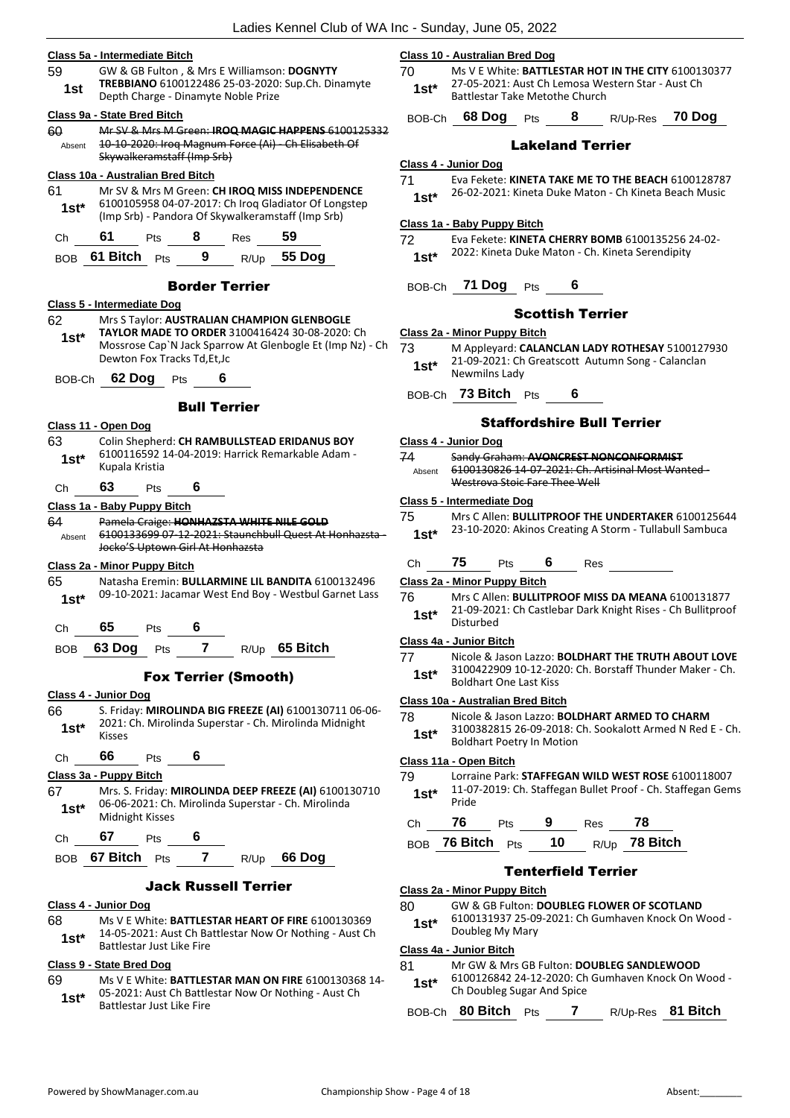- **Class 5a - Intermediate Bitch** 59 GW & GB Fulton , & Mrs E Williamson: **DOGNYTY TREBBIANO** 6100122486 25-03-2020: Sup.Ch. Dinamyte **1st Incobiatio** BLOUTZZ480 25-05-2020<br>Depth Charge - Dinamyte Noble Prize **Class 9a - State Bred Bitch** 60 Mr SV & Mrs M Green: **IROQ MAGIC HAPPENS** 6100125332 10-10-2020: Iroq Magnum Force (Ai) - Ch Elisabeth Of Skywalkeramstaff (Imp Srb) Absent **Class 10a - Australian Bred Bitch** 61 Mr SV & Mrs M Green: **CH IROQ MISS INDEPENDENCE** 6100105958 04-07-2017: Ch Iroq Gladiator Of Longstep (Imp Srb) - Pandora Of Skywalkeramstaff (Imp Srb) **1st\*** Ch **61** Pts **8** Res **59** BOB **61 Bitch** Pts **9** R/Up **55 Dog** Border Terrier **Class 5 - Intermediate Dog** 62 Mrs S Taylor: **AUSTRALIAN CHAMPION GLENBOGLE TAYLOR MADE TO ORDER** 3100416424 30-08-2020: Ch Mossrose Cap`N Jack Sparrow At Glenbogle Et (Imp Nz) - Ch Dewton Fox Tracks Td,Et,Jc **1st\*** BOB-Ch **62 Dog** Pts **6** Bull Terrier **Class 11 - Open Dog** 63 Colin Shepherd: **CH RAMBULLSTEAD ERIDANUS BOY** 6100116592 14-04-2019: Harrick Remarkable Adam - 1st\* <sup>6100116592</sup> Ch **63** Pts **6 Class 1a - Baby Puppy Bitch** 64 Pamela Craige: **HONHAZSTA WHITE NILE GOLD** 6100133699 07-12-2021: Staunchbull Quest At Honhazsta - Jocko'S Uptown Girl At Honhazsta Absent **Class 2a - Minor Puppy Bitch** 65 Natasha Eremin: **BULLARMINE LIL BANDITA** 6100132496 1st\* 09-10-2021: Jacamar West End Boy - Westbul Garnet Lass Ch **65** Pts **6** BOB **63 Dog** Pts **7** R/Up **65 Bitch** Fox Terrier (Smooth) **Class 4 - Junior Dog** 66 S. Friday: **MIROLINDA BIG FREEZE (AI)** 6100130711 06-06-
	- 1st<sup>\*</sup> <sup>2021:</sup> Ch **66** Pts **6 Class 3a - Puppy Bitch 1st**\* Ub-Ub-2021: Ch.<br>Midnight Kisses
	- Ch **67** Pts **6**
		-

#### Jack Russell Terrier

#### **Class 4 - Junior Dog**

68 Ms V E White: **BATTLESTAR HEART OF FIRE** 6100130369 14-05-2021: Aust Ch Battlestar Now Or Nothing - Aust Ch **1st**\* 14-05-2021: Aust Ch Battlestar Just Like Fire

# **Class 9 - State Bred Dog**

69 Ms V E White: **BATTLESTAR MAN ON FIRE** 6100130368 14- 05-2021: Aust Ch Battlestar Now Or Nothing - Aust Ch **1st**\* US-2021: Aust Ch Battlestar Just Like Fire

- 2021: Ch. Mirolinda Superstar Ch. Mirolinda Midnight
- 67 Mrs. S. Friday: **MIROLINDA DEEP FREEZE (AI)** 6100130710 06-06-2021: Ch. Mirolinda Superstar - Ch. Mirolinda

# BOB **67 Bitch** Pts **7** R/Up **66 Dog**

# Powered by ShowManager.com.au examples and the Championship Show - Page 4 of 18 Absent:

# **Class 10 - Australian Bred Dog**

70 Ms V E White: **BATTLESTAR HOT IN THE CITY** 6100130377 27-05-2021: Aust Ch Lemosa Western Star - Aust Ch **1st**\* 27-05-2021. Aust CIT Lemosa we<br>Battlestar Take Metothe Church

BOB-Ch **68 Dog** Pts **8** R/Up-Res **70 Dog**

# Lakeland Terrier

#### **Class 4 - Junior Dog**

71 Eva Fekete: **KINETA TAKE ME TO THE BEACH** 6100128787 26-02-2021: Kineta Duke Maton - Ch Kineta Beach Music **1st\***

# **Class 1a - Baby Puppy Bitch**

72 Eva Fekete: **KINETA CHERRY BOMB** 6100135256 24-02- 2022: Kineta Duke Maton - Ch. Kineta Serendipity **1st\***

# BOB-Ch **71 Dog** Pts **6**

# Scottish Terrier

#### **Class 2a - Minor Puppy Bitch**

73 M Appleyard: **CALANCLAN LADY ROTHESAY** 5100127930 21-09-2021: Ch Greatscott Autumn Song - Calanclan **1st**\* <sup>21-09-2021: Ch</sup>

BOB-Ch **73 Bitch** Pts **6**

# Staffordshire Bull Terrier

## **Class 4 - Junior Dog**

74 Sandy Graham: **AVONCREST NONCONFORMIST** 6100130826 14-07-2021: Ch. Artisinal Most Wanted - Westrova Stoic Fare Thee Well Absent

#### **Class 5 - Intermediate Dog**

- 75 Mrs C Allen: **BULLITPROOF THE UNDERTAKER** 6100125644 23-10-2020: Akinos Creating A Storm - Tullabull Sambuca **1st\***
- Ch **75** Pts **6** Res

#### **Class 2a - Minor Puppy Bitch**

76 Mrs C Allen: **BULLITPROOF MISS DA MEANA** 6100131877 21-09-2021: Ch Castlebar Dark Knight Rises - Ch Bullitproof 1st<sup>\*</sup> <sup>21-09-202</sup><br>Disturbed

# **Class 4a - Junior Bitch**

- 77 Nicole & Jason Lazzo: **BOLDHART THE TRUTH ABOUT LOVE**
- 3100422909 10-12-2020: Ch. Borstaff Thunder Maker Ch. **1st**\* <sup>3100422909 10-12-20.<br>Boldhart One Last Kiss</sup>

# **Class 10a - Australian Bred Bitch**

78 Nicole & Jason Lazzo: **BOLDHART ARMED TO CHARM** 3100382815 26-09-2018: Ch. Sookalott Armed N Red E - Ch. Boldhart Poetry In Motion **1st\***

# **Class 11a - Open Bitch**

- 79 Lorraine Park: **STAFFEGAN WILD WEST ROSE** 6100118007
- 11-07-2019: Ch. Staffegan Bullet Proof Ch. Staffegan Gems  $1$ st<sup>\*</sup>  $\frac{11-0}{P}$

|         |            |                          | ч   |      |                |
|---------|------------|--------------------------|-----|------|----------------|
| $- - -$ | $76$ Ditab | $\overline{\phantom{a}}$ | 1 M | $ -$ | <b>70 DIAL</b> |

# BOB **76 Bitch** Pts **10** R/Up **78 Bitch**

# Tenterfield Terrier

# **Class 2a - Minor Puppy Bitch**

- 80 GW & GB Fulton: **DOUBLEG FLOWER OF SCOTLAND**
- 6100131937 25-09-2021: Ch Gumhaven Knock On Wood 1st<sup>\*</sup> b100131937 25-09<br>Doubleg My Mary

# **Class 4a - Junior Bitch**

- 81 Mr GW & Mrs GB Fulton: **DOUBLEG SANDLEWOOD**
- 6100126842 24-12-2020: Ch Gumhaven Knock On Wood 1st<sup>\*</sup> b<sup>100126842</sup> 24-12-2020: Ch<br>Ch Doubleg Sugar And Spice

BOB-Ch **80 Bitch** Pts **7** R/Up-Res **81 Bitch**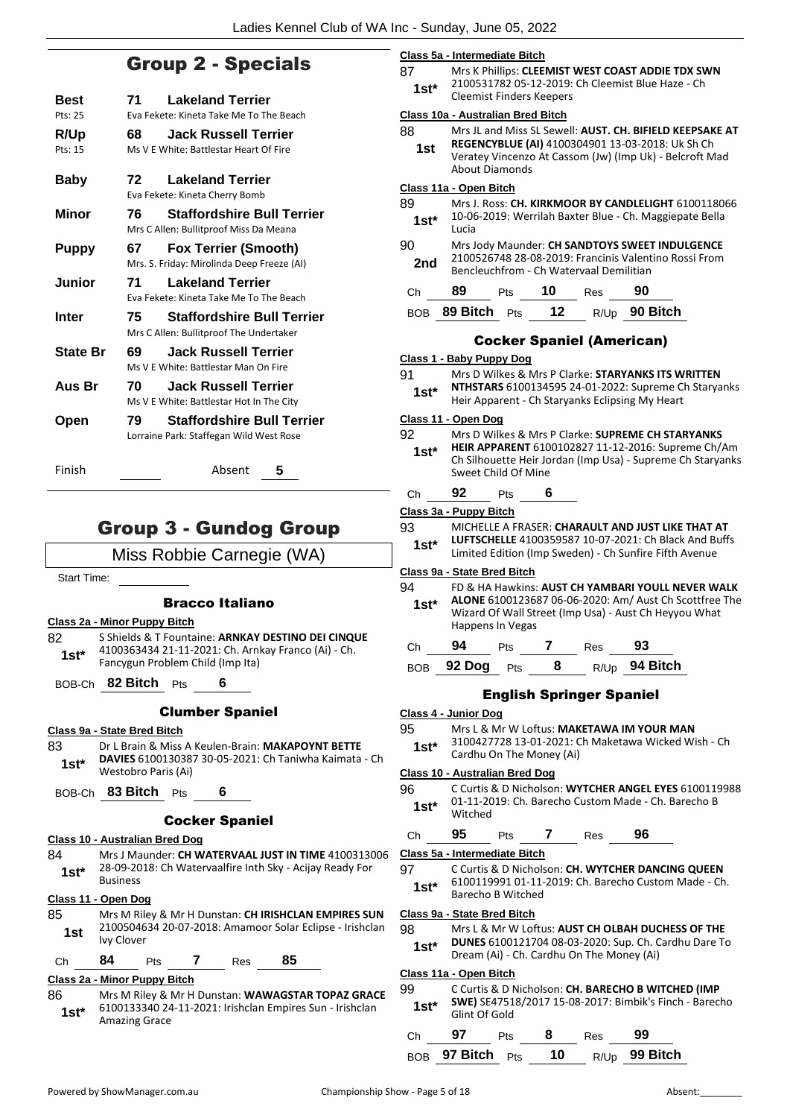**Class 5a - Intermediate Bitch**

# Group 2 - Specials

| Best            | <b>Lakeland Terrier</b><br>71                                                       |   |
|-----------------|-------------------------------------------------------------------------------------|---|
| Pts: 25         | Eva Fekete: Kineta Take Me To The Beach                                             |   |
| R/Up<br>Pts: 15 | <b>Jack Russell Terrier</b><br>68<br>Ms V E White: Battlestar Heart Of Fire         |   |
| <b>Baby</b>     | <b>Lakeland Terrier</b><br>72<br>Eva Fekete: Kineta Cherry Bomb                     |   |
| Minor           | <b>Staffordshire Bull Terrier</b><br>76<br>Mrs C Allen: Bullitproof Miss Da Meana   |   |
| <b>Puppy</b>    | <b>Fox Terrier (Smooth)</b><br>67<br>Mrs. S. Friday: Mirolinda Deep Freeze (AI)     |   |
| Junior          | <b>Lakeland Terrier</b><br>71<br>Eva Fekete: Kineta Take Me To The Beach            |   |
| Inter           | <b>Staffordshire Bull Terrier</b><br>75.<br>Mrs C Allen: Bullitproof The Undertaker |   |
| <b>State Br</b> | <b>Jack Russell Terrier</b><br>69<br>Ms V E White: Battlestar Man On Fire           |   |
| Aus Br          | <b>Jack Russell Terrier</b><br>70<br>Ms V E White: Battlestar Hot In The City       |   |
| Open            | <b>Staffordshire Bull Terrier</b><br>79<br>Lorraine Park: Staffegan Wild West Rose  |   |
| Finish          | Absent                                                                              | 5 |

# Group 3 - Gundog Group

# Miss Robbie Carnegie (WA)

Start Time:

# Bracco Italiano

**Class 2a - Minor Puppy Bitch**

82 S Shields & T Fountaine: **ARNKAY DESTINO DEI CINQUE** 4100363434 21-11-2021: Ch. Arnkay Franco (Ai) - Ch. Fancygun Problem Child (Imp Ita) **1st\***

BOB-Ch **82 Bitch** Pts **6**

# Clumber Spaniel

### **Class 9a - State Bred Bitch**

83 Dr L Brain & Miss A Keulen-Brain: **MAKAPOYNT BETTE DAVIES** 6100130387 30-05-2021: Ch Taniwha Kaimata - Ch Westobro Paris (Ai) **1st\***

BOB-Ch **83 Bitch** Pts **6**

# Cocker Spaniel

#### **Class 10 - Australian Bred Dog**

84 Mrs J Maunder: **CH WATERVAAL JUST IN TIME** 4100313006 28-09-2018: Ch Watervaalfire Inth Sky - Acijay Ready For 1st<sup>\*</sup> <sup>28-09-20</sup><br>Business

### **Class 11 - Open Dog**

85 Mrs M Riley & Mr H Dunstan: **CH IRISHCLAN EMPIRES SUN** 2100504634 20-07-2018: Amamoor Solar Eclipse - Irishclan Ivy Clover **1st**

# Ch **84** Pts **7** Res **85**

# **Class 2a - Minor Puppy Bitch**

86 Mrs M Riley & Mr H Dunstan: **WAWAGSTAR TOPAZ GRACE** 6100133340 24-11-2021: Irishclan Empires Sun - Irishclan Amazing Grace **1st\***

| 87<br>1st*     |                                          | Mrs K Phillips: CLEEMIST WEST COAST ADDIE TDX SWN<br>2100531782 05-12-2019: Ch Cleemist Blue Haze - Ch<br><b>Cleemist Finders Keepers</b>                                                        |   |                                         |                                                                                                                                                                             |  |  |  |
|----------------|------------------------------------------|--------------------------------------------------------------------------------------------------------------------------------------------------------------------------------------------------|---|-----------------------------------------|-----------------------------------------------------------------------------------------------------------------------------------------------------------------------------|--|--|--|
|                | <b>Class 10a - Australian Bred Bitch</b> |                                                                                                                                                                                                  |   |                                         |                                                                                                                                                                             |  |  |  |
| 88<br>1st      |                                          | Mrs JL and Miss SL Sewell: AUST. CH. BIFIELD KEEPSAKE AT<br>REGENCYBLUE (AI) 4100304901 13-03-2018: Uk Sh Ch<br>Veratey Vincenzo At Cassom (Jw) (Imp Uk) - Belcroft Mad<br><b>About Diamonds</b> |   |                                         |                                                                                                                                                                             |  |  |  |
|                | Class 11a - Open Bitch                   |                                                                                                                                                                                                  |   |                                         |                                                                                                                                                                             |  |  |  |
| 89<br>1st*     | Lucia                                    |                                                                                                                                                                                                  |   |                                         | Mrs J. Ross: CH. KIRKMOOR BY CANDLELIGHT 6100118066<br>10-06-2019: Werrilah Baxter Blue - Ch. Maggiepate Bella                                                              |  |  |  |
| 90<br>2nd      |                                          |                                                                                                                                                                                                  |   | Bencleuchfrom - Ch Watervaal Demilitian | Mrs Jody Maunder: CH SANDTOYS SWEET INDULGENCE<br>2100526748 28-08-2019: Francinis Valentino Rossi From                                                                     |  |  |  |
| Ch             | 89                                       | Pts                                                                                                                                                                                              |   | 10 Res 90                               |                                                                                                                                                                             |  |  |  |
|                |                                          |                                                                                                                                                                                                  |   |                                         | BOB 89 Bitch Pts 12 R/Up 90 Bitch                                                                                                                                           |  |  |  |
|                |                                          |                                                                                                                                                                                                  |   | <b>Cocker Spaniel (American)</b>        |                                                                                                                                                                             |  |  |  |
|                | Class 1 - Baby Puppy Dog                 |                                                                                                                                                                                                  |   |                                         |                                                                                                                                                                             |  |  |  |
| 91<br>$1st^*$  |                                          |                                                                                                                                                                                                  |   |                                         | Mrs D Wilkes & Mrs P Clarke: <b>STARYANKS ITS WRITTEN</b><br><b>NTHSTARS</b> 6100134595 24-01-2022: Supreme Ch Staryanks<br>Heir Apparent - Ch Staryanks Eclipsing My Heart |  |  |  |
|                | Class 11 - Open Dog                      |                                                                                                                                                                                                  |   |                                         |                                                                                                                                                                             |  |  |  |
| 92<br>1st*     |                                          | Sweet Child Of Mine                                                                                                                                                                              |   |                                         | Mrs D Wilkes & Mrs P Clarke: SUPREME CH STARYANKS<br>HEIR APPARENT 6100102827 11-12-2016: Supreme Ch/Am<br>Ch Silhouette Heir Jordan (Imp Usa) - Supreme Ch Staryanks       |  |  |  |
| Ch             | 92                                       | Pts                                                                                                                                                                                              | 6 |                                         |                                                                                                                                                                             |  |  |  |
|                | Class 3a - Puppy Bitch                   |                                                                                                                                                                                                  |   |                                         |                                                                                                                                                                             |  |  |  |
| 93<br>$1st^*$  |                                          |                                                                                                                                                                                                  |   |                                         | MICHELLE A FRASER: CHARAULT AND JUST LIKE THAT AT<br>LUFTSCHELLE 4100359587 10-07-2021: Ch Black And Buffs<br>Limited Edition (Imp Sweden) - Ch Sunfire Fifth Avenue        |  |  |  |
|                | Class 9a - State Bred Bitch              |                                                                                                                                                                                                  |   |                                         |                                                                                                                                                                             |  |  |  |
| 94<br>1st*     |                                          | Happens In Vegas                                                                                                                                                                                 |   |                                         | FD & HA Hawkins: AUST CH YAMBARI YOULL NEVER WALK<br>ALONE 6100123687 06-06-2020: Am/ Aust Ch Scottfree The<br>Wizard Of Wall Street (Imp Usa) - Aust Ch Heyyou What        |  |  |  |
| Ch             |                                          |                                                                                                                                                                                                  |   | 94 Pts 7 Res 93                         |                                                                                                                                                                             |  |  |  |
| BOB            |                                          |                                                                                                                                                                                                  |   |                                         | 92 Dog $Pts$ 8 $R/Up$ 94 Bitch                                                                                                                                              |  |  |  |
|                |                                          |                                                                                                                                                                                                  |   | <b>English Springer Spaniel</b>         |                                                                                                                                                                             |  |  |  |
|                | Class 4 - Junior Dog                     |                                                                                                                                                                                                  |   |                                         |                                                                                                                                                                             |  |  |  |
| 95<br>$4 - 4*$ |                                          |                                                                                                                                                                                                  |   |                                         | Mrs L & Mr W Loftus: MAKETAWA IM YOUR MAN<br>3100427728 13-01-2021: Ch Maketawa Wicked Wish - Ch                                                                            |  |  |  |

3100427728 13-01-2021: Ch Maketawa Wicked Wish - Ch **Cardhu On The Money (Ai)** 

#### **Class 10 - Australian Bred Dog**

96 C Curtis & D Nicholson: **WYTCHER ANGEL EYES** 6100119988 01-11-2019: Ch. Barecho Custom Made - Ch. Barecho B Witched **1st\***

# Ch **95** Pts **7** Res **96**

# **Class 5a - Intermediate Bitch**

- 97 C Curtis & D Nicholson: **CH. WYTCHER DANCING QUEEN**
- 6100119991 01-11-2019: Ch. Barecho Custom Made Ch. 1st<sup>\*</sup> bluul19991 u1-11-<br>Barecho B Witched

#### **Class 9a - State Bred Bitch**

#### 98 Mrs L & Mr W Loftus: **AUST CH OLBAH DUCHESS OF THE**

**DUNES** 6100121704 08-03-2020: Sup. Ch. Cardhu Dare To **1st\* DUNES** 6100121704 08-03-2020: Sup. Ch. C<br>Dream (Ai) - Ch. Cardhu On The Money (Ai)

#### **Class 11a - Open Bitch**

#### 99 C Curtis & D Nicholson: **CH. BARECHO B WITCHED (IMP**

**SWE)** SE47518/2017 15-08-2017: Bimbik's Finch - Barecho 1st<sup>\*</sup> SWEJ SE4/51<br>Glint Of Gold

| Ch | 97                      | <b>Pts</b> | 8 | Res | - 99          |
|----|-------------------------|------------|---|-----|---------------|
|    | $BOB$ 97 Bitch $Pts$ 10 |            |   |     | R/Up 99 Bitch |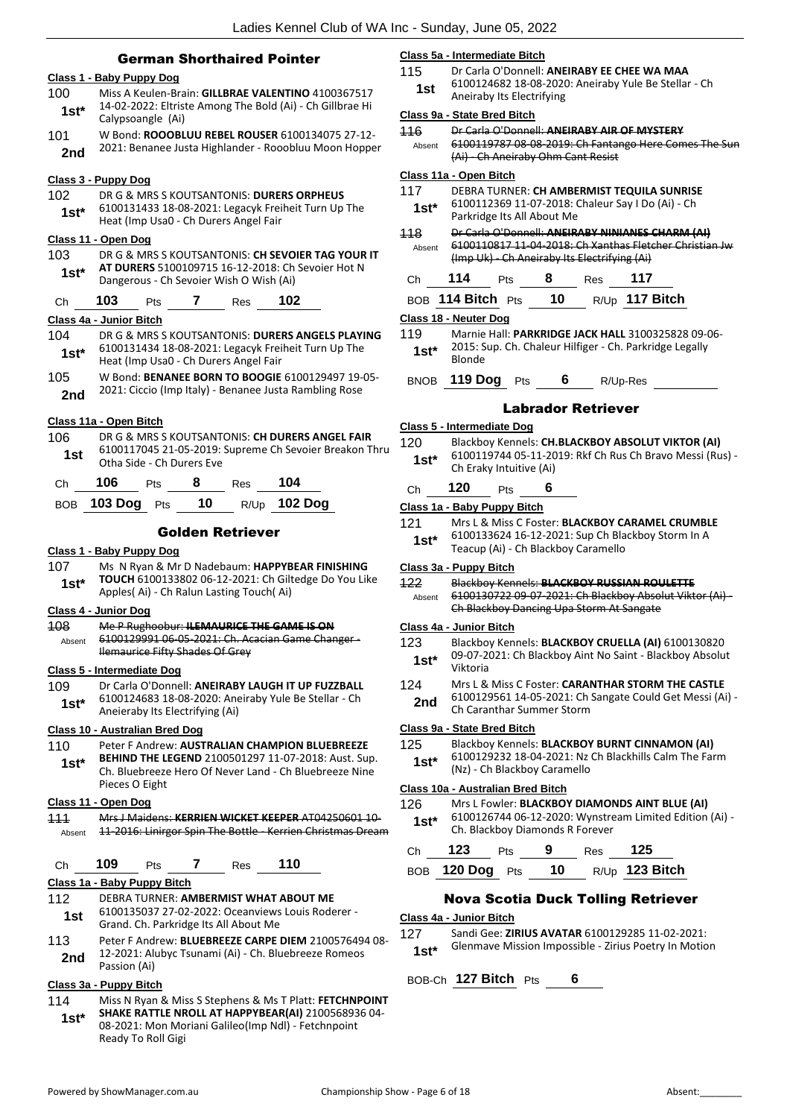# German Shorthaired Pointer

# **Class 1 - Baby Puppy Dog**

- 100 Miss A Keulen-Brain: **GILLBRAE VALENTINO** 4100367517 14-02-2022: Eltriste Among The Bold (Ai) - Ch Gillbrae Hi **1st**\* <sup>14-02-2022: Eltris<br>Calypsoangle (Ai)</sup>
- 101 W Bond: **ROOOBLUU REBEL ROUSER** 6100134075 27-12-
	- 2nd 2021: Benanee Justa Highlander Rooobluu Moon Hopper

# **Class 3 - Puppy Dog**

102 DR G & MRS S KOUTSANTONIS: **DURERS ORPHEUS** 6100131433 18-08-2021: Legacyk Freiheit Turn Up The 1st\* b100131433 18-08-2021: Legacyk Frei<br>Heat (Imp Usa0 - Ch Durers Angel Fair

### **Class 11 - Open Dog**

103 DR G & MRS S KOUTSANTONIS: **CH SEVOIER TAG YOUR IT AT DURERS** 5100109715 16-12-2018: Ch Sevoier Hot N Dangerous - Ch Sevoier Wish O Wish (Ai) **1st\***

# Ch **103** Pts **7** Res **102**

# **Class 4a - Junior Bitch**

- 104 DR G & MRS S KOUTSANTONIS: **DURERS ANGELS PLAYING** 6100131434 18-08-2021: Legacyk Freiheit Turn Up The 1st\* b100131434 18-08-2021: Legacyk Frei<br>Heat (Imp Usa0 - Ch Durers Angel Fair
- 105 W Bond: **BENANEE BORN TO BOOGIE** 6100129497 19-05- 2021: Ciccio (Imp Italy) - Benanee Justa Rambling Rose **2nd**

# **Class 11a - Open Bitch**

106 DR G & MRS S KOUTSANTONIS: **CH DURERS ANGEL FAIR** 6100117045 21-05-2019: Supreme Ch Sevoier Breakon Thru **1st** blood 1045 21-05-2019:<br>Otha Side - Ch Durers Eve

| Ch | 106               | <b>Pts</b> | -8 | Res | 104            |
|----|-------------------|------------|----|-----|----------------|
|    | BOB $103$ Dog Pts |            | 10 |     | $R/Up$ 102 Dog |

# Golden Retriever

# **Class 1 - Baby Puppy Dog**

107 Ms N Ryan & Mr D Nadebaum: **HAPPYBEAR FINISHING TOUCH** 6100133802 06-12-2021: Ch Giltedge Do You Like **1st\* 100CH** B100133802 06-12-2021: Ch Gin<br>Apples( Ai) - Ch Ralun Lasting Touch( Ai)

# **Class 4 - Junior Dog**

108 Me P Rughoobur: **ILEMAURICE THE GAME IS ON** 6100129991 06-05-2021: Ch. Acacian Game Changer - Ilemaurice Fifty Shades Of Grey Absent

# **Class 5 - Intermediate Dog**

109 Dr Carla O'Donnell: **ANEIRABY LAUGH IT UP FUZZBALL** 6100124683 18-08-2020: Aneiraby Yule Be Stellar - Ch **1st**\* **b**100124683 18-08-2020: Ane Aneieraby Its Electrifying (Ai)

# **Class 10 - Australian Bred Dog**

#### 110 Peter F Andrew: **AUSTRALIAN CHAMPION BLUEBREEZE**

**BEHIND THE LEGEND** 2100501297 11-07-2018: Aust. Sup. Ch. Bluebreeze Hero Of Never Land - Ch Bluebreeze Nine Pieces O Eight **1st\***

#### **Class 11 - Open Dog**

111 Mrs J Maidens: **KERRIEN WICKET KEEPER** AT04250601 10- Absent 11-2016: Linirgor Spin The Bottle - Kerrien Christmas Dream

Ch **109** Pts **7** Res **110**

# **Class 1a - Baby Puppy Bitch**

- 112 DEBRA TURNER: **AMBERMIST WHAT ABOUT ME** 6100135037 27-02-2022: Oceanviews Louis Roderer -
- Grand. Ch. Parkridge Its All About Me **1st**
- 113 Peter F Andrew: **BLUEBREEZE CARPE DIEM** 2100576494 08- 12-2021: Alubyc Tsunami (Ai) - Ch. Bluebreeze Romeos **2nd 12-2021:** All

# **Class 3a - Puppy Bitch**

114 Miss N Ryan & Miss S Stephens & Ms T Platt: **FETCHNPOINT SHAKE RATTLE NROLL AT HAPPYBEAR(AI)** 2100568936 04- 08-2021: Mon Moriani Galileo(Imp Ndl) - Fetchnpoint Ready To Roll Gigi **1st\***

## **Class 5a - Intermediate Bitch**

115 Dr Carla O'Donnell: **ANEIRABY EE CHEE WA MAA** 6100124682 18-08-2020: Aneiraby Yule Be Stellar - Ch Aneiraby Its Electrifying **1st**

#### **Class 9a - State Bred Bitch**

- 116 Dr Carla O'Donnell: **ANEIRABY AIR OF MYSTERY**
- 6100119787 08-08-2019: Ch Fantango Here Comes The S (Ai) - Ch Aneiraby Ohm Cant Resist Absent

# **Class 11a - Open Bitch**

- 117 DEBRA TURNER: **CH AMBERMIST TEQUILA SUNRISE**
- 6100112369 11-07-2018: Chaleur Say I Do (Ai) Ch Parkridge Its All About Me **1st\***
- 118 Dr Carla O'Donnell: **ANEIRABY NINIANES CHARM (AI)** 6100110817 11-04-2018: Ch Xanthas Fletcher Christian Jw (Imp Uk) - Ch Aneiraby Its Electrifying (Ai) Absent

|  | Ch | 114 | Pts | 8 | Res | 117 |  |
|--|----|-----|-----|---|-----|-----|--|
|--|----|-----|-----|---|-----|-----|--|

| BOB 114 Bitch Pts<br>10 | R/Up 117 Bitch |
|-------------------------|----------------|
|-------------------------|----------------|

# **Class 18 - Neuter Dog**

119 Marnie Hall: **PARKRIDGE JACK HALL** 3100325828 09-06- 2015: Sup. Ch. Chaleur Hilfiger - Ch. Parkridge Legally  $1$ **st**\*  $\frac{2015}{B}$ 

BNOB **119 Dog** Pts **6** R/Up-Res

# Labrador Retriever

# **Class 5 - Intermediate Dog**

120 Blackboy Kennels: **CH.BLACKBOY ABSOLUT VIKTOR (AI)** 6100119744 05-11-2019: Rkf Ch Rus Ch Bravo Messi (Rus) - Ch Eraky Intuitive (Ai) **1st\***

# Ch **120** Pts **6**

# **Class 1a - Baby Puppy Bitch**

121 Mrs L & Miss C Foster: **BLACKBOY CARAMEL CRUMBLE** 6100133624 16-12-2021: Sup Ch Blackboy Storm In A **1st**\* b100133624 16-12-2021: sup Cn Bla<br>Teacup (Ai) - Ch Blackboy Caramello

# **Class 3a - Puppy Bitch**

122 Blackboy Kennels: **BLACKBOY RUSSIAN ROULETTE** 6100130722 09-07-2021: Ch Blackboy Absolut Viktor (Ai) - Ch Blackboy Dancing Upa Storm At Sangate Absent

#### **Class 4a - Junior Bitch**

- 123 Blackboy Kennels: **BLACKBOY CRUELLA (AI)** 6100130820 09-07-2021: Ch Blackboy Aint No Saint - Blackboy Absolut Viktoria **1st\***
- 124 Mrs L & Miss C Foster: **CARANTHAR STORM THE CASTLE**
- 6100129561 14-05-2021: Ch Sangate Could Get Messi (Ai) 2nd **bloodler** Ch Caranthar Summer Storm

# **Class 9a - State Bred Bitch**

- 125 Blackboy Kennels: **BLACKBOY BURNT CINNAMON (AI)**
- 6100129232 18-04-2021: Nz Ch Blackhills Calm The Farm (Nz) - Ch Blackboy Caramello **1st\***

# **Class 10a - Australian Bred Bitch**

126 Mrs L Fowler: **BLACKBOY DIAMONDS AINT BLUE (AI)** 6100126744 06-12-2020: Wynstream Limited Edition (Ai) - 1st\* b<sup>100126744 06-12-2020:</sup> Wynstre<br>Ch. Blackboy Diamonds R Forever

| Ch $123$ Pts | - 9 | $Res$ 125 |                                   |
|--------------|-----|-----------|-----------------------------------|
|              |     |           | BOB 120 Dog Pts 10 R/Up 123 Bitch |

# Nova Scotia Duck Tolling Retriever

### **Class 4a - Junior Bitch**

- 127 Sandi Gee: **ZIRIUS AVATAR** 6100129285 11-02-2021:
- Glenmave Mission Impossible Zirius Poetry In Motion **1st\***

BOB-Ch **127 Bitch** Pts **6**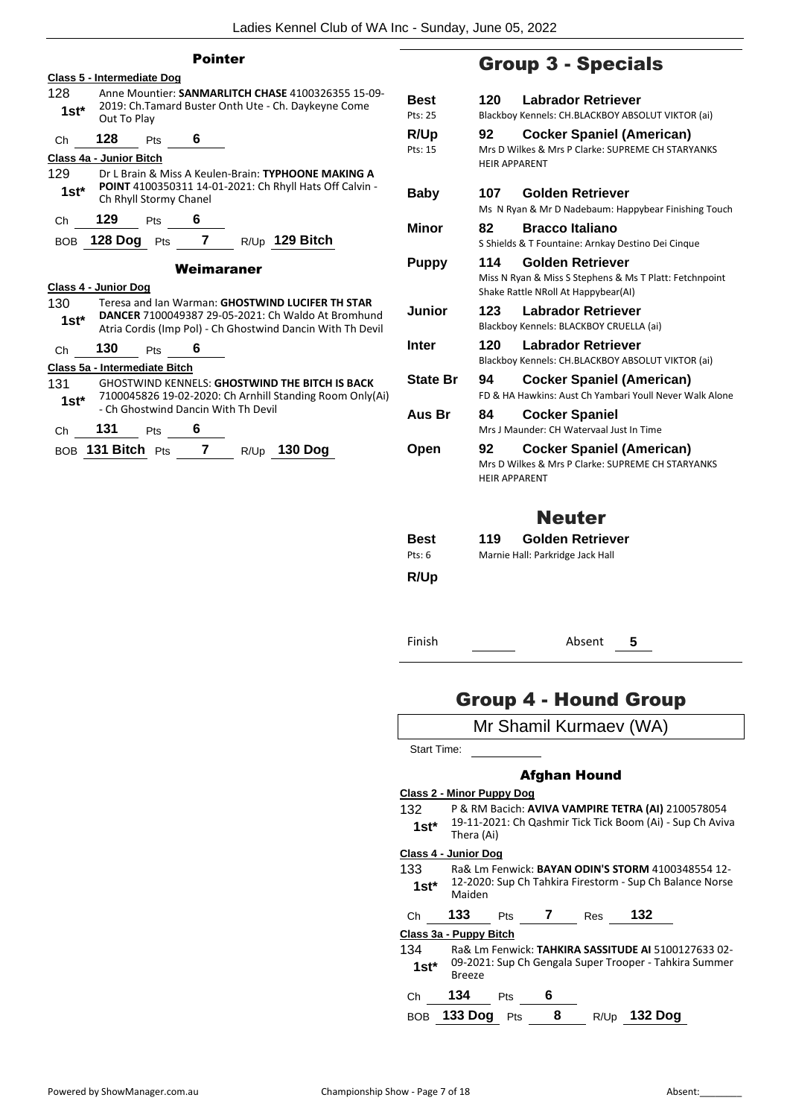|                         |                   |                                   | <b>Pointer</b>                      |                                                                                                                   |  |
|-------------------------|-------------------|-----------------------------------|-------------------------------------|-------------------------------------------------------------------------------------------------------------------|--|
|                         |                   | <b>Class 5 - Intermediate Dog</b> |                                     |                                                                                                                   |  |
| 128<br>$1st*$           | Out To Play       |                                   |                                     | Anne Mountier: SANMARLITCH CHASE 4100326355 15-09-<br>2019: Ch.Tamard Buster Onth Ute - Ch. Daykeyne Come         |  |
| Ch                      | 128               | <b>Pts</b>                        | 6                                   |                                                                                                                   |  |
| Class 4a - Junior Bitch |                   |                                   |                                     |                                                                                                                   |  |
| 129                     |                   |                                   |                                     | Dr L Brain & Miss A Keulen-Brain: TYPHOONE MAKING A                                                               |  |
| $1st^*$                 |                   | Ch Rhyll Stormy Chanel            |                                     | POINT 4100350311 14-01-2021: Ch Rhyll Hats Off Calvin -                                                           |  |
| Ch                      | 129               | <b>Pts</b>                        | 6                                   |                                                                                                                   |  |
| BOB                     | <b>128 Dog</b>    | Pts                               | $\overline{7}$                      | $R/Up$ 129 Bitch                                                                                                  |  |
|                         |                   |                                   | Weimaraner                          |                                                                                                                   |  |
| Class 4 - Junior Dog    |                   |                                   |                                     |                                                                                                                   |  |
| 130                     |                   |                                   |                                     | Teresa and Jan Warman: GHOSTWIND LUCIFER TH STAR                                                                  |  |
| 1st*                    |                   |                                   |                                     | DANCER 7100049387 29-05-2021: Ch Waldo At Bromhund<br>Atria Cordis (Imp Pol) - Ch Ghostwind Dancin With Th Devil  |  |
| Ch                      | 130               | Pts                               | 6                                   |                                                                                                                   |  |
|                         |                   | Class 5a - Intermediate Bitch     |                                     |                                                                                                                   |  |
| 131                     |                   |                                   |                                     | <b>GHOSTWIND KENNELS: GHOSTWIND THE BITCH IS BACK</b><br>7100045826 19-02-2020: Ch Arnhill Standing Room Only(Ai) |  |
| $1st^*$                 |                   |                                   | - Ch Ghostwind Dancin With Th Devil |                                                                                                                   |  |
| Ch                      | 131               | Pts                               | 6                                   |                                                                                                                   |  |
|                         | BOB 131 Bitch Pts |                                   | $\mathbf{7}$                        | $R/Up$ 130 Dog                                                                                                    |  |
|                         |                   |                                   |                                     |                                                                                                                   |  |
|                         |                   |                                   |                                     |                                                                                                                   |  |

# Group 3 - Specials

| <b>Best</b><br>Pts: 25 | 120 —                      | <b>Labrador Retriever</b><br>Blackboy Kennels: CH.BLACKBOY ABSOLUT VIKTOR (ai)                                     |
|------------------------|----------------------------|--------------------------------------------------------------------------------------------------------------------|
| <b>R/Up</b><br>Pts: 15 | 92<br><b>HFIR APPARFNT</b> | Cocker Spaniel (American)<br>Mrs D Wilkes & Mrs P Clarke: SUPREME CH STARYANKS                                     |
| Baby                   | 107 —                      | <b>Golden Retriever</b><br>Ms N Ryan & Mr D Nadebaum: Happybear Finishing Touch                                    |
| Minor                  | 82                         | <b>Bracco Italiano</b><br>S Shields & T Fountaine: Arnkay Destino Dei Cinque                                       |
| <b>Puppy</b>           | 114                        | Golden Retriever<br>Miss N Ryan & Miss S Stephens & Ms T Platt: Fetchnpoint<br>Shake Rattle NRoll At Happybear(AI) |
| Junior                 | 123                        | <b>Labrador Retriever</b><br>Blackboy Kennels: BLACKBOY CRUELLA (ai)                                               |
| Inter                  | 120                        | Labrador Retriever                                                                                                 |
|                        |                            | Blackboy Kennels: CH.BLACKBOY ABSOLUT VIKTOR (ai)                                                                  |
| <b>State Br</b>        | 94                         | <b>Cocker Spaniel (American)</b><br>FD & HA Hawkins: Aust Ch Yambari Youll Never Walk Alone                        |
| Aus Br                 | 84                         | <b>Cocker Spaniel</b><br>Mrs J Maunder: CH Watervaal Just In Time                                                  |
| Open                   | 92<br><b>HFIR APPARFNT</b> | <b>Cocker Spaniel (American)</b><br>Mrs D Wilkes & Mrs P Clarke: SUPREME CH STARYANKS                              |
|                        |                            | <b>Neuter</b>                                                                                                      |
| <b>Best</b>            | 119                        | Golden Retriever                                                                                                   |
| Pts: 6                 |                            | Marnie Hall: Parkridge Jack Hall                                                                                   |

Finish Absent **5**

# Group 4 - Hound Group

|             |                           |     |   | Mr Shamil Kurmaev (WA) |                                                           |
|-------------|---------------------------|-----|---|------------------------|-----------------------------------------------------------|
| Start Time: |                           |     |   |                        |                                                           |
|             |                           |     |   | Afghan Hound           |                                                           |
|             | Class 2 - Minor Puppy Dog |     |   |                        |                                                           |
| 132         |                           |     |   |                        | P & RM Bacich: AVIVA VAMPIRE TETRA (AI) 2100578054        |
| $1st^*$     | Thera (Ai)                |     |   |                        | 19-11-2021: Ch Qashmir Tick Tick Boom (Ai) - Sup Ch Aviva |
|             | Class 4 - Junior Dog      |     |   |                        |                                                           |
| 133         |                           |     |   |                        | Ra& Lm Fenwick: <b>BAYAN ODIN'S STORM</b> 4100348554 12-  |
| $1st^*$     | Maiden                    |     |   |                        | 12-2020: Sup Ch Tahkira Firestorm - Sup Ch Balance Norse  |
| Ch          | 133                       | Pts | 7 | <b>Res</b>             | 132                                                       |
|             | Class 3a - Puppy Bitch    |     |   |                        |                                                           |
| 134         |                           |     |   |                        | Ra& Lm Fenwick: TAHKIRA SASSITUDE AI 5100127633 02-       |
| $1st^*$     | <b>Breeze</b>             |     |   |                        | 09-2021: Sup Ch Gengala Super Trooper - Tahkira Summer    |
| Ch          | 134                       | Pts | 6 |                        |                                                           |
| <b>BOB</b>  | 133 Dog                   | Pts | 8 | R/Up                   | 132 Doa                                                   |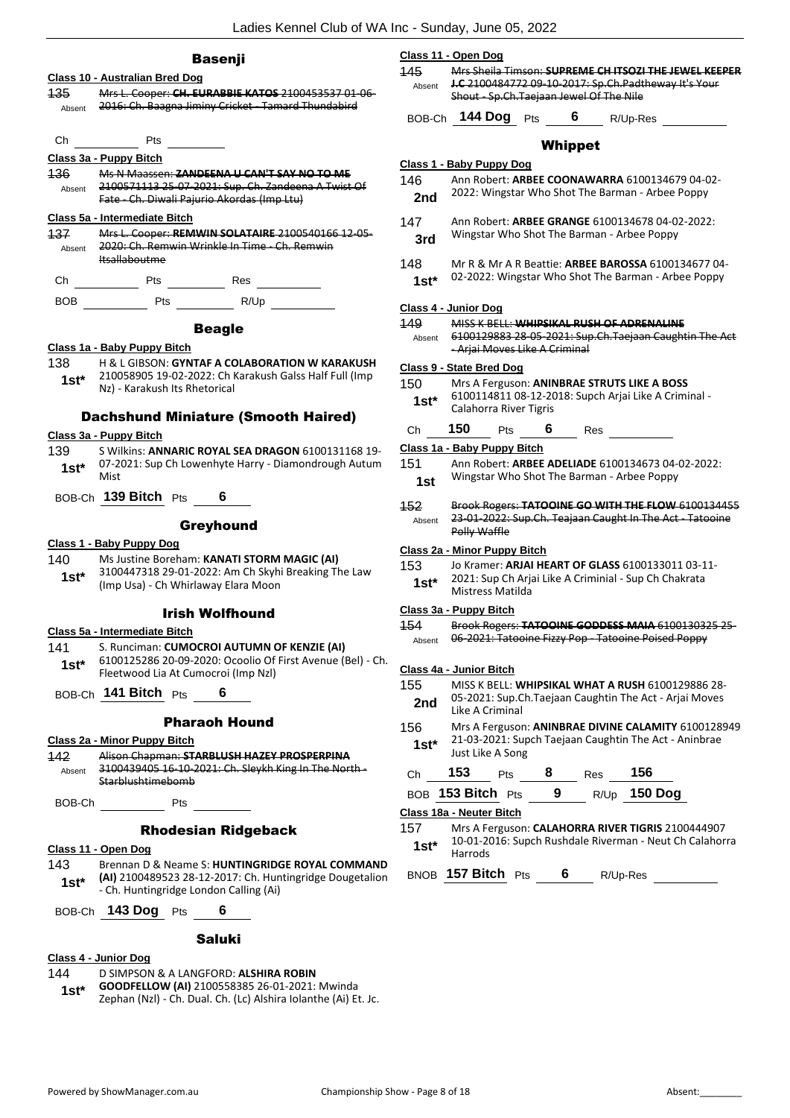| ٠ | <br>--<br>× | m<br>ш | ш |
|---|-------------|--------|---|

# **Class 10 - Australian Bred Dog**

135 Mrs L. Cooper: **CH. EURABBIE KATOS** 2100453537 01-06- Absent 2016: Ch. Baagna Jiminy Cricket - Tamard Thundabird

Ch Pts

# **Class 3a - Puppy Bitch**

136 Ms N Maassen: **ZANDEENA U CAN'T SAY NO TO ME** 2100571113 25-07-2021: Sup. Ch. Zandeena A Twist Of Fate - Ch. Diwali Pajurio Akordas (Imp Ltu) Absent

# **Class 5a - Intermediate Bitch**

| 137    | Mrs L. Cooper: REMWIN SOLATAIRE 2100540166 12-05-                   |
|--------|---------------------------------------------------------------------|
| Ahsent | 2020: Ch. Remwin Wrinkle In Time Ch. Remwin<br><b>Itsallaboutme</b> |
|        |                                                                     |

Ch Pts Res

BOB Pts R/Up

# Beagle

# **Class 1a - Baby Puppy Bitch**

138 H & L GIBSON: **GYNTAF A COLABORATION W KARAKUSH** 210058905 19-02-2022: Ch Karakush Galss Half Full (Imp Nz) - Karakush Its Rhetorical **1st\***

# Dachshund Miniature (Smooth Haired)

#### **Class 3a - Puppy Bitch**

139 S Wilkins: **ANNARIC ROYAL SEA DRAGON** 6100131168 19- 07-2021: Sup Ch Lowenhyte Harry - Diamondrough Autum  $1$ st<sup>\*</sup>  $\frac{0.75}{M}$ 

BOB-Ch **139 Bitch** Pts **6**

# **Greyhound**

# **Class 1 - Baby Puppy Dog**

140 Ms Justine Boreham: **KANATI STORM MAGIC (AI)** 3100447318 29-01-2022: Am Ch Skyhi Breaking The Law 1st\* 3100447318 29-01-2022: Am Ch Skyhi<br>(Imp Usa) - Ch Whirlaway Elara Moon

# Irish Wolfhound

# **Class 5a - Intermediate Bitch**

- 141 S. Runciman: **CUMOCROI AUTUMN OF KENZIE (AI)** 6100125286 20-09-2020: Ocoolio Of First Avenue (Bel) - Ch.
- Fleetwood Lia At Cumocroi (Imp Nzl) **1st\***

BOB-Ch **141 Bitch** Pts **6**

# Pharaoh Hound

# **Class 2a - Minor Puppy Bitch**

142 Alison Chapman: **STARBLUSH HAZEY PROSPERPINA** 3100439405 16-10-2021: Ch. Sleykh King In The North - Starblushtimebomb Absent

BOB-Ch Pts

# Rhodesian Ridgeback

### **Class 11 - Open Dog**

143 Brennan D & Neame S: **HUNTINGRIDGE ROYAL COMMAND (AI)** 2100489523 28-12-2017: Ch. Huntingridge Dougetalion - Ch. Huntingridge London Calling (Ai) **1st\***

| BOB-Ch 143 Dog Pts |  |
|--------------------|--|
|                    |  |

# Saluki

# **Class 4 - Junior Dog**

144 D SIMPSON & A LANGFORD: **ALSHIRA ROBIN** 

**GOODFELLOW (AI)** 2100558385 26-01-2021: Mwinda **1st\* GOODFELLOW (AI)** 2100558385 26-01-2021: Mwinda<br>Zephan (Nzl) - Ch. Dual. Ch. (Lc) Alshira Iolanthe (Ai) Et. Jc.

|        | Class 11 - Open Dog                     |  |                                                             |
|--------|-----------------------------------------|--|-------------------------------------------------------------|
| -445   |                                         |  | Mrs Choila Timson: CHIDDEME CH ITCO7I THE IEWEL KEEDED      |
| Absent |                                         |  | <b>J.C</b> 2100484772 09-10-2017: Sp.Ch.Padtheway It's Your |
|        | Shout - Sp.Ch.Taejaan Jewel Of The Nile |  |                                                             |
|        | $PCDCH$ 144 Don $PID$                   |  | $D/\ln D_{\theta}$                                          |

BOB-Ch **144 Dog** Pts **6** R/Up-Res

# Whippet

# **Class 1 - Baby Puppy Dog** 146 Ann Robert: **ARBEE COONAWARRA** 6100134679 04-02- 2nd 2022: Wingstar Who Shot The Barman - Arbee Poppy

- 147 Ann Robert: **ARBEE GRANGE** 6100134678 04-02-2022: Wingstar Who Shot The Barman - Arbee Poppy **3rd**
- 148 Mr R & Mr A R Beattie: **ARBEE BAROSSA** 6100134677 04- 02-2022: Wingstar Who Shot The Barman - Arbee Poppy **1st\***

# **Class 4 - Junior Dog**

# 149 MISS K BELL: **WHIPSIKAL RUSH OF ADRENALINE**

6100129883 28-05-2021: Sup.Ch.Taejaan Caughtin The Act - Arjai Moves Like A Criminal Absent

#### **Class 9 - State Bred Dog**

150 Mrs A Ferguson: **ANINBRAE STRUTS LIKE A BOSS** 6100114811 08-12-2018: Supch Arjai Like A Criminal - Calahorra River Tigris **1st\***

# Ch **150** Pts **6** Res

# **Class 1a - Baby Puppy Bitch**

- 151 Ann Robert: **ARBEE ADELIADE** 6100134673 04-02-2022: Wingstar Who Shot The Barman - Arbee Poppy **1st**
- 152 Brook Rogers: **TATOOINE GO WITH THE FLOW** 6100134455 23-01-2022: Sup.Ch. Teajaan Caught In The Act - Tatooine
	- Polly Waffle Absent

# **Class 2a - Minor Puppy Bitch**

| 153    | Jo Kramer: ARJAI HEART OF GLASS 6100133011 03-11-     |
|--------|-------------------------------------------------------|
| $1st*$ | 2021: Sup Ch Arjai Like A Criminial - Sup Ch Chakrata |
|        | Mistress Matilda                                      |

#### **Class 3a - Puppy Bitch**

#### 154 Brook Rogers: **TATOOINE GODDESS MAIA** 6100130325 25- Absent 06-2021: Tatooine Fizzy Pop Tatooine Poised Poppy

# **Class 4a - Junior Bitch**

| 155 | MISS K BELL: WHIPSIKAL WHAT A RUSH 6100129886 28-      |
|-----|--------------------------------------------------------|
| 2nd | 05-2021: Sup.Ch.Taejaan Caughtin The Act - Arjai Moves |
|     | Like A Criminal                                        |

156 Mrs A Ferguson: **ANINBRAE DIVINE CALAMITY** 6100128949 21-03-2021: Supch Taejaan Caughtin The Act - Aninbrae **1st**\* <sup>21-03-2021: Sup<br>Just Like A Song</sup>

| Ch. | 153               | <b>Pts</b> | -8 | Res | 156                 |
|-----|-------------------|------------|----|-----|---------------------|
|     | BOB 153 Bitch Pts |            | -9 |     | R/Up <b>150 Dog</b> |

# **Class 18a - Neuter Bitch**

157 Mrs A Ferguson: **CALAHORRA RIVER TIGRIS** 2100444907 10-01-2016: Supch Rushdale Riverman - Neut Ch Calahorra  $1$ St<sup>\*</sup>  $\frac{10-01-2}{\text{Harrods}}$ 

BNOB **157 Bitch** Pts **6** R/Up-Res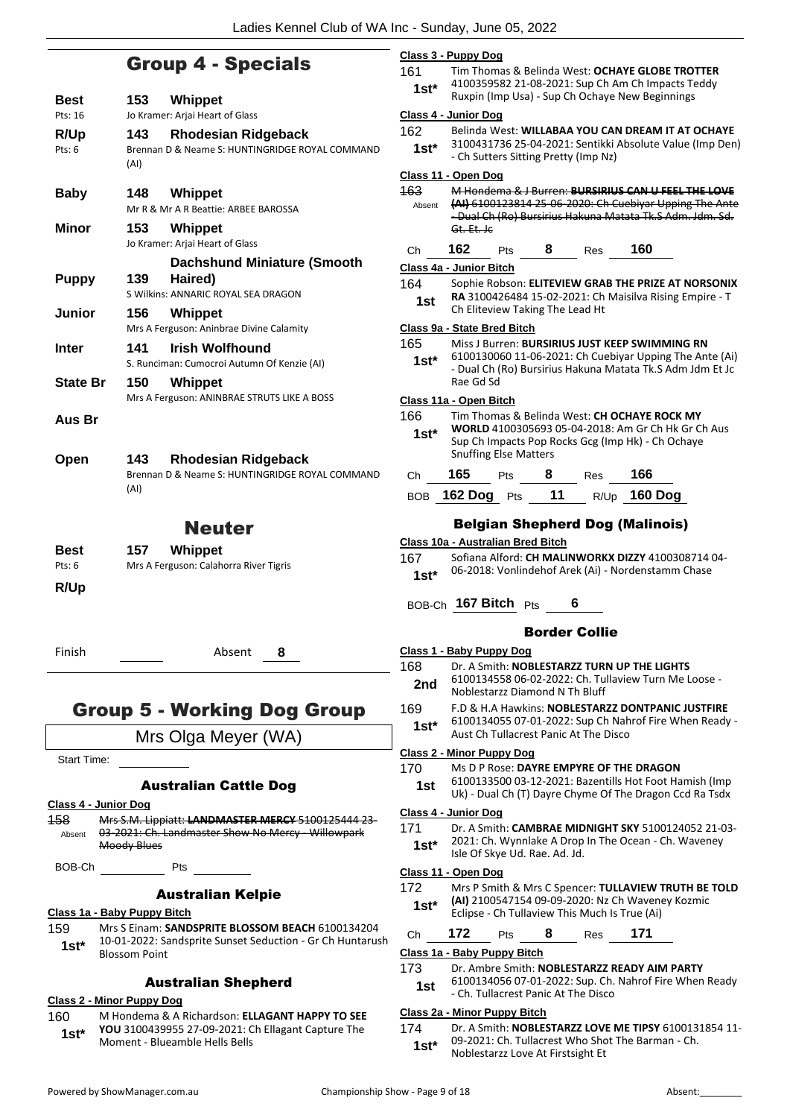# Group 4 - Specials

| <b>Best</b>        | 153<br><b>Whippet</b>                                                                                    |                         |
|--------------------|----------------------------------------------------------------------------------------------------------|-------------------------|
| Pts: 16            | Jo Kramer: Arjai Heart of Glass<br>143<br><b>Rhodesian Ridgeback</b>                                     | $\overline{\mathbf{C}}$ |
| R/Up<br>Pts: 6     | Brennan D & Neame S: HUNTINGRIDGE ROYAL COMMAND                                                          |                         |
|                    | (AI)                                                                                                     | $\overline{\mathsf{C}}$ |
| <b>Baby</b>        | 148<br>Whippet                                                                                           | 4                       |
|                    | Mr R & Mr A R Beattie: ARBEE BAROSSA                                                                     |                         |
| <b>Minor</b>       | 153<br><b>Whippet</b><br>Jo Kramer: Arjai Heart of Glass                                                 |                         |
|                    | <b>Dachshund Miniature (Smooth</b>                                                                       | C                       |
| <b>Puppy</b>       | 139<br>Haired)<br>S Wilkins: ANNARIC ROYAL SEA DRAGON                                                    |                         |
| Junior             | 156<br>Whippet                                                                                           |                         |
|                    | Mrs A Ferguson: Aninbrae Divine Calamity                                                                 | $\overline{\mathbf{C}}$ |
| <b>Inter</b>       | <b>Irish Wolfhound</b><br>141                                                                            |                         |
| <b>State Br</b>    | S. Runciman: Cumocroi Autumn Of Kenzie (AI)<br>150<br><b>Whippet</b>                                     |                         |
|                    | Mrs A Ferguson: ANINBRAE STRUTS LIKE A BOSS                                                              | C                       |
| Aus Br             |                                                                                                          |                         |
|                    |                                                                                                          |                         |
| Open               | 143<br><b>Rhodesian Ridgeback</b>                                                                        |                         |
|                    | Brennan D & Neame S: HUNTINGRIDGE ROYAL COMMAND<br>(AI)                                                  |                         |
|                    |                                                                                                          |                         |
|                    | <b>Neuter</b>                                                                                            |                         |
| Best               | <b>Whippet</b><br>157                                                                                    |                         |
| Pts: 6             | Mrs A Ferguson: Calahorra River Tigris                                                                   |                         |
| R/Up               |                                                                                                          |                         |
|                    |                                                                                                          |                         |
| Finish             | Absent<br>8                                                                                              |                         |
|                    |                                                                                                          |                         |
|                    |                                                                                                          |                         |
|                    | <b>Group 5 - Working Dog Group</b>                                                                       | 1                       |
|                    | Mrs Olga Meyer (WA)                                                                                      |                         |
| <b>Start Time:</b> |                                                                                                          | $\overline{\mathsf{C}}$ |
|                    | <b>Australian Cattle Dog</b>                                                                             |                         |
|                    | <u> Class 4 - Junior Dog</u>                                                                             | $\overline{\mathsf{C}}$ |
| 158<br>Absent      | Mrs S.M. Lippiatt: LANDMASTER MERCY 5100125444 23-<br>03-2021: Ch. Landmaster Show No Mercy - Willowpark |                         |
|                    | <b>Moody Blues</b>                                                                                       |                         |
| BOB-Ch             | Pts                                                                                                      | $\overline{\mathbf{c}}$ |
|                    | <b>Australian Kelpie</b>                                                                                 |                         |
| 159                | <u> Class 1a - Baby Puppy Bitch</u><br>Mrs S Einam: SANDSPRITE BLOSSOM BEACH 6100134204                  |                         |
| $1st^*$            | 10-01-2022: Sandsprite Sunset Seduction - Gr Ch Huntarush<br><b>Blossom Point</b>                        | $\overline{\mathbf{c}}$ |
|                    |                                                                                                          |                         |
|                    | <b>Australian Shepherd</b>                                                                               |                         |
| 160                | <b>Class 2 - Minor Puppy Dog</b><br>M Hondema & A Richardson: ELLAGANT HAPPY TO SEE                      | <u>C</u>                |
| $1st*$             | YOU 3100439955 27-09-2021: Ch Ellagant Capture The<br>Moment - Blueamble Hells Bells                     |                         |
|                    |                                                                                                          |                         |

# **Class 3 - Puppy Dog**

161 Tim Thomas & Belinda West: **OCHAYE GLOBE TROTTER** 4100359582 21-08-2021: Sup Ch Am Ch Impacts Teddy 1st\* 4100359582 21-08-2021: Sup Ch Am Ch Impacts 16<br>Ruxpin (Imp Usa) - Sup Ch Ochaye New Beginnings **Class 4 - Junior Dog** 162 Belinda West: **WILLABAA YOU CAN DREAM IT AT OCHAYE** 3100431736 25-04-2021: Sentikki Absolute Value (Imp Den) 1st\* 3100431736 25-04-2021: Sentikki A<br>Ch Sutters Sitting Pretty (Imp Nz)

# **Class 11 - Open Dog**

| 163    |            |     |     |     | M Hondema & J Burren: BURSIRIUS CAN U FEEL THE LOVE      |
|--------|------------|-----|-----|-----|----------------------------------------------------------|
| Absent |            |     |     |     | (AI) 6100123814 25-06-2020: Ch Cuebiyar Upping The Ante  |
|        |            |     |     |     | -Dual Ch (Ro) Bursirius Hakuna Matata Tk.S Adm. Jdm. Sd. |
|        | Gt. Et. Jc |     |     |     |                                                          |
|        | 162        | Pts | Res | 160 |                                                          |

#### **Class 4a - Junior Bitch**

| 164 | Sophie Robson: ELITEVIEW GRAB THE PRIZE AT NORSONIX     |
|-----|---------------------------------------------------------|
| 1st | RA 3100426484 15-02-2021: Ch Maisilva Rising Empire - T |
|     | Ch Eliteview Taking The Lead Ht                         |

### **Class 9a - State Bred Bitch**

165 Miss J Burren: **BURSIRIUS JUST KEEP SWIMMING RN** 6100130060 11-06-2021: Ch Cuebiyar Upping The Ante (Ai) - Dual Ch (Ro) Bursirius Hakuna Matata Tk.S Adm Jdm Et Jc Rae Gd Sd **1st\***

# **Class 11a - Open Bitch**

| 166<br>$1st*$ |                | <b>Snuffing Else Matters</b> |    |      | Tim Thomas & Belinda West: CH OCHAYE ROCK MY<br>WORLD 4100305693 05-04-2018: Am Gr Ch Hk Gr Ch Aus<br>Sup Ch Impacts Pop Rocks Gcg (Imp Hk) - Ch Ochaye |
|---------------|----------------|------------------------------|----|------|---------------------------------------------------------------------------------------------------------------------------------------------------------|
| Сh            | 165            | <b>Pts</b>                   | 8  | Res  | 166                                                                                                                                                     |
| <b>BOB</b>    | <b>162 Dog</b> | <b>Pts</b>                   | 11 | R/Up | <b>160 Dog</b>                                                                                                                                          |

# Belgian Shepherd Dog (Malinois)

#### **Class 10a - Australian Bred Bitch**

| 167    | Sofiana Alford: CH MALINWORKX DIZZY 4100308714 04- |
|--------|----------------------------------------------------|
| $1st*$ | 06-2018: Vonlindehof Arek (Ai) - Nordenstamm Chase |

BOB-Ch **167 Bitch** Pts **6**

# Border Collie

|                                        |     | Class 1 - Baby Puppy Dog                      |   |     |                                                                                                                                                              |  |
|----------------------------------------|-----|-----------------------------------------------|---|-----|--------------------------------------------------------------------------------------------------------------------------------------------------------------|--|
| 168<br>2nd                             |     | Noblestarzz Diamond N Th Bluff                |   |     | Dr. A Smith: NOBLESTARZZ TURN UP THE LIGHTS<br>6100134558 06-02-2022: Ch. Tullaview Turn Me Loose -                                                          |  |
| 169<br>$1st^*$                         |     | Aust Ch Tullacrest Panic At The Disco         |   |     | F.D & H.A Hawkins: NOBLESTARZZ DONTPANIC JUSTFIRE<br>6100134055 07-01-2022: Sup Ch Nahrof Fire When Ready -                                                  |  |
|                                        |     | <b>Class 2 - Minor Puppy Dog</b>              |   |     |                                                                                                                                                              |  |
| 170<br>1st                             |     |                                               |   |     | Ms D P Rose: DAYRE EMPYRE OF THE DRAGON<br>6100133500 03-12-2021: Bazentills Hot Foot Hamish (Imp<br>Uk) - Dual Ch (T) Dayre Chyme Of The Dragon Ccd Ra Tsdx |  |
| Class 4 - Junior Dog<br>171<br>$1st^*$ |     | Isle Of Skye Ud. Rae. Ad. Jd.                 |   |     | Dr. A Smith: CAMBRAE MIDNIGHT SKY 5100124052 21-03-<br>2021: Ch. Wynnlake A Drop In The Ocean - Ch. Waveney                                                  |  |
| Class 11 - Open Dog                    |     |                                               |   |     |                                                                                                                                                              |  |
| 172<br>$1st^*$                         |     | Eclipse - Ch Tullaview This Much Is True (Ai) |   |     | Mrs P Smith & Mrs C Spencer: TULLAVIEW TRUTH BE TOLD<br>(AI) 2100547154 09-09-2020: Nz Ch Waveney Kozmic                                                     |  |
| Сh                                     | 172 | Pts                                           | 8 | Res | 171                                                                                                                                                          |  |

**Class 1a - Baby Puppy Bitch**

#### 173 Dr. Ambre Smith: **NOBLESTARZZ READY AIM PARTY**

6100134056 07-01-2022: Sup. Ch. Nahrof Fire When Ready 1st <sup>6100134056</sup> 07-01-2022: Sup. Ch.<br>Ch. Tullacrest Panic At The Disco

# **Class 2a - Minor Puppy Bitch**

174 Dr. A Smith: **NOBLESTARZZ LOVE ME TIPSY** 6100131854 11- 09-2021: Ch. Tullacrest Who Shot The Barman - Ch. 1st\* UP-2021: Ch. Tullacrest who sho<br>Noblestarzz Love At Firstsight Et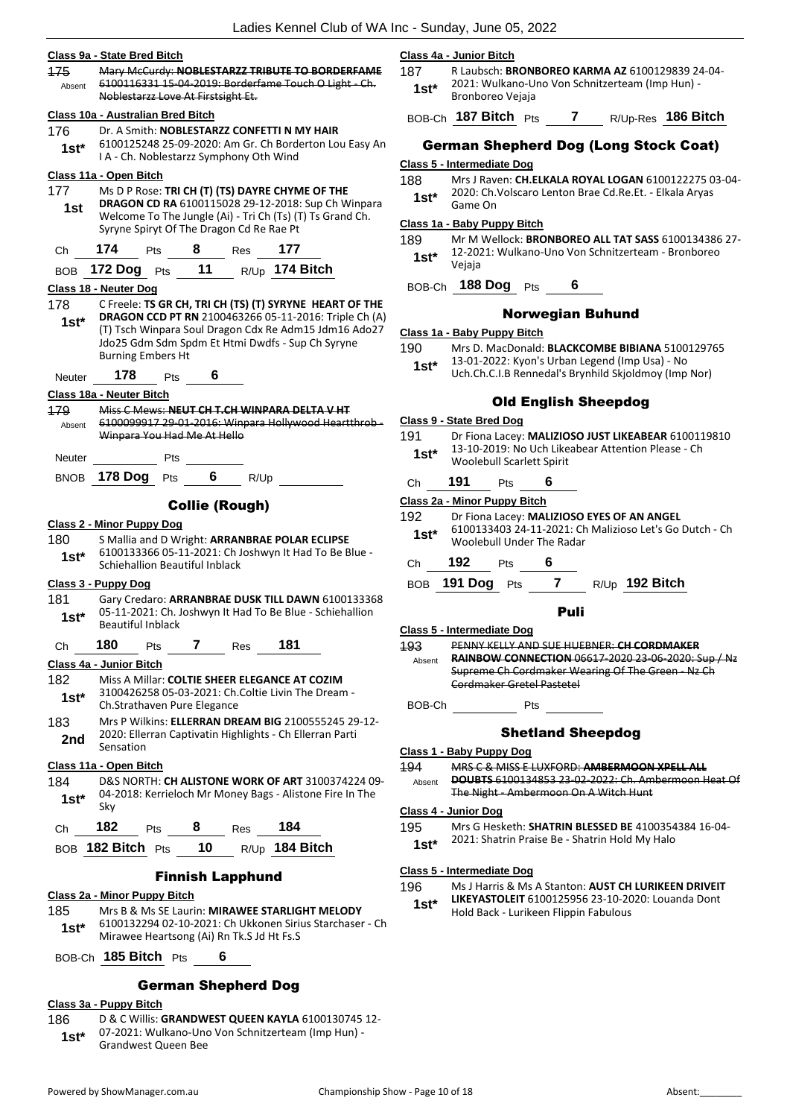### **Class 9a - State Bred Bitch**

| <b>175</b> | Mary McCurdy: NOBLESTARZZ TRIBUTE TO BORDERFAME       |
|------------|-------------------------------------------------------|
| Absent     | 6100116331 15-04-2019: Borderfame Touch O Light - Ch. |
|            | Noblestarzz Love At Firstsight Et.                    |
|            |                                                       |

# **Class 10a - Australian Bred Bitch**

176 Dr. A Smith: **NOBLESTARZZ CONFETTI N MY HAIR** 6100125248 25-09-2020: Am Gr. Ch Borderton Lou Easy An I A - Ch. Noblestarzz Symphony Oth Wind **1st\***

### **Class 11a - Open Bitch**

- 177 Ms D P Rose: **TRI CH (T) (TS) DAYRE CHYME OF THE DRAGON CD RA** 6100115028 29-12-2018: Sup Ch Winpara Welcome To The Jungle (Ai) - Tri Ch (Ts) (T) Ts Grand Ch. Syryne Spiryt Of The Dragon Cd Re Rae Pt **1st**
- Ch **174** Pts **8** Res **177**
- BOB **172 Dog** Pts **11** R/Up **174 Bitch**

### **Class 18 - Neuter Dog**

178 C Freele: **TS GR CH, TRI CH (TS) (T) SYRYNE HEART OF THE DRAGON CCD PT RN** 2100463266 05-11-2016: Triple Ch (A) (T) Tsch Winpara Soul Dragon Cdx Re Adm15 Jdm16 Ado27 Jdo25 Gdm Sdm Spdm Et Htmi Dwdfs - Sup Ch Syryne Burning Embers Ht **1st\***

Neuter **178** Pts **6**

# **Class 18a - Neuter Bitch**

179 Miss C Mews: **NEUT CH T.CH WINPARA DELTA V HT** 6100099917 29-01-2016: Winpara Hollywood Heartthrob - Winpara You Had Me At Hello Absent

| Neuter |                  | Pts |   |      |
|--------|------------------|-----|---|------|
|        | BNOB 178 Dog Pts |     | 6 | R/Up |

# Collie (Rough)

#### **Class 2 - Minor Puppy Dog**

180 S Mallia and D Wright: **ARRANBRAE POLAR ECLIPSE** 6100133366 05-11-2021: Ch Joshwyn It Had To Be Blue - **Stable BLUOL33366 US-11-2021: Charge**<br>**1st<sup>\*</sup>** Schiehallion Beautiful Inblack

#### **Class 3 - Puppy Dog**

181 Gary Credaro: **ARRANBRAE DUSK TILL DAWN** 6100133368 05-11-2021: Ch. Joshwyn It Had To Be Blue - Schiehallion **1st\*** Ub-11-2021: Ch. J<br>Beautiful Inblack

# Ch **180** Pts **7** Res **181**

#### **Class 4a - Junior Bitch**

- 182 Miss A Millar: **COLTIE SHEER ELEGANCE AT COZIM** 3100426258 05-03-2021: Ch.Coltie Livin The Dream - 1st\* 3100426258 05-03-2021: Ch.<br>Ch.Strathaven Pure Elegance
- 183 Mrs P Wilkins: **ELLERRAN DREAM BIG** 2100555245 29-12- 2020: Ellerran Captivatin Highlights - Ch Ellerran Parti **2nd** <sup>2020</sup> Elle

#### **Class 11a - Open Bitch**

184 D&S NORTH: **CH ALISTONE WORK OF ART** 3100374224 09- 04-2018: Kerrieloch Mr Money Bags - Alistone Fire In The **1st**\*  $\frac{04}{Skv}$ Ch **182** Pts **8** Res **184**

| <b>VIL</b> | $\overline{\phantom{a}}$ | $\overline{\phantom{a}}$ | nes. | - 197            |
|------------|--------------------------|--------------------------|------|------------------|
|            | BOB 182 Bitch Pts        | 10                       |      | $R/Up$ 184 Bitch |

#### Finnish Lapphund

#### **Class 2a - Minor Puppy Bitch**

185 Mrs B & Ms SE Laurin: **MIRAWEE STARLIGHT MELODY** 6100132294 02-10-2021: Ch Ukkonen Sirius Starchaser - Ch **1st**\* b100132294 02-10-2021: Ch UKKohen Siri

BOB-Ch **185 Bitch** Pts **6**

# German Shepherd Dog

# **Class 3a - Puppy Bitch**

- 186 D & C Willis: **GRANDWEST QUEEN KAYLA** 6100130745 12-
- 07-2021: Wulkano-Uno Von Schnitzerteam (Imp Hun) **1st\*** 07-2021: Wulkano-Und<br>Grandwest Queen Bee
- **Class 4a - Junior Bitch**
	- 187 R Laubsch: **BRONBOREO KARMA AZ** 6100129839 24-04- 2021: Wulkano-Uno Von Schnitzerteam (Imp Hun) - 1st\* <sup>2021.</sup> Wulkano-O

BOB-Ch **187 Bitch** Pts **7** R/Up-Res **186 Bitch**

# German Shepherd Dog (Long Stock Coat)

# **Class 5 - Intermediate Dog**

- 188 Mrs J Raven: **CH.ELKALA ROYAL LOGAN** 6100122275 03-04-
- 2020: Ch.Volscaro Lenton Brae Cd.Re.Et. Elkala Aryas 1st<sup>\*</sup> <sup>2020: Ch.</sup><br>Game On

# **Class 1a - Baby Puppy Bitch**

- 189 Mr M Wellock: **BRONBOREO ALL TAT SASS** 6100134386 27- 12-2021: Wulkano-Uno Von Schnitzerteam - Bronboreo Vejaja **1st\***
- BOB-Ch **188 Dog** Pts **6**

# Norwegian Buhund

#### **Class 1a - Baby Puppy Bitch**

- 190 Mrs D. MacDonald: **BLACKCOMBE BIBIANA** 5100129765
- 13-01-2022: Kyon's Urban Legend (Imp Usa) No
	- Uch.Ch.C.I.B Rennedal's Brynhild Skjoldmoy (Imp Nor) **1st\***

# Old English Sheepdog

- **Class 9 - State Bred Dog**
- 191 Dr Fiona Lacey: **MALIZIOSO JUST LIKEABEAR** 6100119810 13-10-2019: No Uch Likeabear Attention Please - Ch Woolebull Scarlett Spirit **1st\***
- Ch **191** Pts **6**

# **Class 2a - Minor Puppy Bitch**

- 192 Dr Fiona Lacey: **MALIZIOSO EYES OF AN ANGEL** 6100133403 24-11-2021: Ch Malizioso Let's Go Dutch - Ch Woolebull Under The Radar **1st\***
- Ch **192** Pts **6**
- BOB **191 Dog** Pts **7** R/Up **192 Bitch**

#### Puli

- **Class 5 - Intermediate Dog**
- 193 PENNY KELLY AND SUE HUEBNER: **CH CORDMAKER RAINBOW CONNECTION** 06617-2020 23-06-2020: Sup / Nz Supreme Ch Cordmaker Wearing Of The Green - Nz Ch Cordmaker Gretel Pastetel Absent

BOB-Ch Pts

# Shetland Sheepdog

**Class 1 - Baby Puppy Dog**

194 MRS C & MISS E LUXFORD: **AMBERMOON XPELL ALL DOUBTS** 6100134853 23-02-2022: Ch. Ambermoon Heat Of The Night - Ambermoon On A Witch Hunt Absent

#### **Class 4 - Junior Dog**

- 195 Mrs G Hesketh: **SHATRIN BLESSED BE** 4100354384 16-04-
	- 2021: Shatrin Praise Be Shatrin Hold My Halo **1st\***

#### **Class 5 - Intermediate Dog**

196 Ms J Harris & Ms A Stanton: **AUST CH LURIKEEN DRIVEIT LIKEYASTOLEIT** 6100125956 23-10-2020: Louanda Dont Hold Back - Lurikeen Flippin Fabulous **1st\***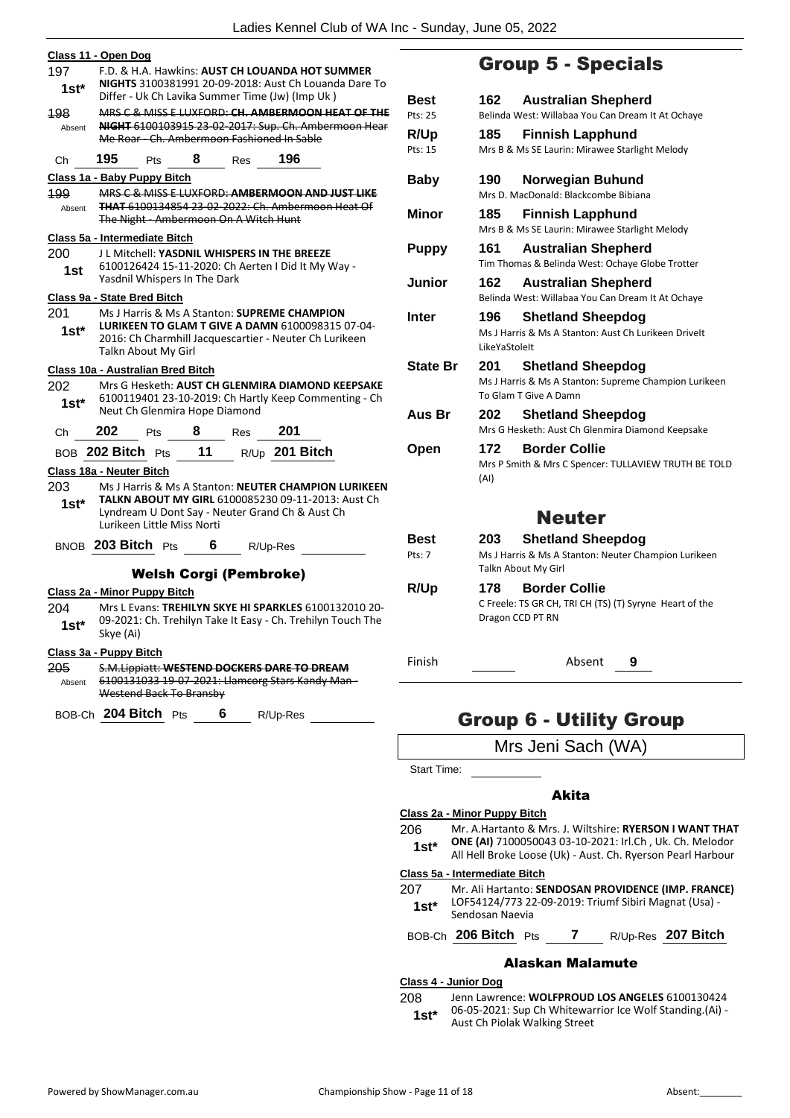|                                          | Class 11 - Open Dog |                                                               |     |         |                                                                                                                                                                                                          |  |
|------------------------------------------|---------------------|---------------------------------------------------------------|-----|---------|----------------------------------------------------------------------------------------------------------------------------------------------------------------------------------------------------------|--|
| 197<br>$1st^*$                           |                     |                                                               |     |         | F.D. & H.A. Hawkins: AUST CH LOUANDA HOT SUMMER<br>NIGHTS 3100381991 20-09-2018: Aust Ch Louanda Dare To                                                                                                 |  |
| 198<br>Absent                            |                     |                                                               |     |         | Differ - Uk Ch Lavika Summer Time (Jw) (Imp Uk)<br>MRS C & MISS E LUXFORD: CH. AMBERMOON HEAT OF THE<br>NIGHT 6100103915 23 02 2017: Sup. Ch. Ambermoon Hear<br>Me Roar Ch. Ambermoon Fashioned In Sable |  |
| Ch                                       | 195                 | Pts                                                           | 8   | Res     | 196                                                                                                                                                                                                      |  |
|                                          |                     | Class 1a - Baby Puppy Bitch                                   |     |         |                                                                                                                                                                                                          |  |
| 199<br>Absent                            |                     | The Night - Ambermoon On A Witch Hunt                         |     |         | MRS C & MISS E LUXFORD: AMBERMOON AND JUST LIKE<br><b>THAT 6100134854 23-02-2022: Ch. Ambermoon Heat Of</b>                                                                                              |  |
|                                          |                     | Class 5a - Intermediate Bitch                                 |     |         |                                                                                                                                                                                                          |  |
| 200<br>1st                               |                     | Yasdnil Whispers In The Dark                                  |     |         | J L Mitchell: YASDNIL WHISPERS IN THE BREEZE<br>6100126424 15-11-2020: Ch Aerten I Did It My Way -                                                                                                       |  |
|                                          |                     | Class 9a - State Bred Bitch                                   |     |         |                                                                                                                                                                                                          |  |
| 201<br>1st*                              |                     | Talkn About My Girl                                           |     |         | Ms J Harris & Ms A Stanton: <b>SUPREME CHAMPION</b><br>LURIKEEN TO GLAM T GIVE A DAMN 6100098315 07-04-<br>2016: Ch Charmhill Jacquescartier - Neuter Ch Lurikeen                                        |  |
|                                          |                     | Class 10a - Australian Bred Bitch                             |     |         |                                                                                                                                                                                                          |  |
| 202<br>$1st*$                            |                     | Neut Ch Glenmira Hope Diamond                                 |     |         | Mrs G Hesketh: AUST CH GLENMIRA DIAMOND KEEPSAKE<br>6100119401 23-10-2019: Ch Hartly Keep Commenting - Ch                                                                                                |  |
| Ch                                       | 202                 | Pts                                                           | 8   | Res 201 |                                                                                                                                                                                                          |  |
|                                          |                     | BOB 202 Bitch Pts                                             | 11  |         | R/Up 201 Bitch                                                                                                                                                                                           |  |
| Class 18a - Neuter Bitch                 |                     |                                                               |     |         |                                                                                                                                                                                                          |  |
| 203<br>1st*                              |                     | Lurikeen Little Miss Norti                                    |     |         | Ms J Harris & Ms A Stanton: NEUTER CHAMPION LURIKEEN<br>TALKN ABOUT MY GIRL 6100085230 09-11-2013: Aust Ch<br>Lyndream U Dont Say - Neuter Grand Ch & Aust Ch                                            |  |
|                                          |                     | BNOB 203 Bitch Pts                                            | - 6 |         | R/Up-Res                                                                                                                                                                                                 |  |
|                                          |                     |                                                               |     |         |                                                                                                                                                                                                          |  |
|                                          |                     | <b>Welsh Corgi (Pembroke)</b><br>Class 2a - Minor Puppy Bitch |     |         |                                                                                                                                                                                                          |  |
| 204<br>$1st*$                            | Skye (Ai)           |                                                               |     |         | Mrs L Evans: TREHILYN SKYE HI SPARKLES 6100132010 20-<br>09-2021: Ch. Trehilyn Take It Easy - Ch. Trehilyn Touch The                                                                                     |  |
| Class 3a - Puppy Bitch<br>205.<br>Absent |                     |                                                               |     |         | S.M.Lippiatt: WESTEND DOCKERS DARE TO DREAM<br>6100131033 19-07-2021: Llamcorg Stars Kandy Man-                                                                                                          |  |
|                                          |                     | Westend Back To Bransby                                       |     |         |                                                                                                                                                                                                          |  |
|                                          |                     |                                                               |     |         |                                                                                                                                                                                                          |  |
|                                          |                     |                                                               |     |         | BOB-Ch 204 Bitch Pts 6 R/Up-Res ________                                                                                                                                                                 |  |
|                                          |                     |                                                               |     |         |                                                                                                                                                                                                          |  |
|                                          |                     |                                                               |     |         |                                                                                                                                                                                                          |  |

# Group 5 - Specials

| Best            | 162<br><b>Australian Shepherd</b>                                                      |
|-----------------|----------------------------------------------------------------------------------------|
| Pts: 25         | Belinda West: Willabaa You Can Dream It At Ochaye                                      |
| R/Up            | 185<br><b>Finnish Lapphund</b>                                                         |
| Pts: 15         | Mrs B & Ms SE Laurin: Mirawee Starlight Melody                                         |
| <b>Baby</b>     | 190<br>Norwegian Buhund                                                                |
|                 | Mrs D. MacDonald: Blackcombe Bibiana                                                   |
| <b>Minor</b>    | 185<br><b>Finnish Lapphund</b>                                                         |
|                 | Mrs B & Ms SE Laurin: Mirawee Starlight Melody                                         |
| <b>Puppy</b>    | 161<br><b>Australian Shepherd</b><br>Tim Thomas & Belinda West: Ochaye Globe Trotter   |
| Junior          | 162<br><b>Australian Shepherd</b><br>Belinda West: Willabaa You Can Dream It At Ochaye |
| Inter           | 196<br><b>Shetland Sheepdog</b>                                                        |
|                 | Ms J Harris & Ms A Stanton: Aust Ch Lurikeen Drivelt<br>LikeYaStoleIt                  |
| <b>State Br</b> | 201<br><b>Shetland Sheepdog</b>                                                        |
|                 | Ms J Harris & Ms A Stanton: Supreme Champion Lurikeen<br>To Glam T Give A Damn         |
| Aus Br          | 202<br><b>Shetland Sheepdog</b><br>Mrs G Hesketh: Aust Ch Glenmira Diamond Keepsake    |
| Open            | 172<br><b>Border Collie</b>                                                            |
|                 | Mrs P Smith & Mrs C Spencer: TULLAVIEW TRUTH BE TOLD<br>(AI)                           |
|                 | <b>Neuter</b>                                                                          |
| Best            | <b>Shetland Sheepdog</b><br>203                                                        |
| Pts: 7          | Ms J Harris & Ms A Stanton: Neuter Champion Lurikeen                                   |
|                 | Talkn About My Girl                                                                    |
| R/Up            | <b>Border Collie</b><br>178                                                            |
|                 | C Freele: TS GR CH, TRI CH (TS) (T) Syryne Heart of the<br>Dragon CCD PT RN            |
| Finish          | Absent<br>9                                                                            |
|                 |                                                                                        |

# Group 6 - Utility Group

Mrs Jeni Sach (WA)

Start Time:

# Akita

**Class 2a - Minor Puppy Bitch** 206 Mr. A.Hartanto & Mrs. J. Wiltshire: **RYERSON I WANT THAT ONE (AI)** 7100050043 03-10-2021: Irl.Ch , Uk. Ch. Melodor All Hell Broke Loose (Uk) - Aust. Ch. Ryerson Pearl Harbour **1st\***

# **Class 5a - Intermediate Bitch**

- 207 Mr. Ali Hartanto: **SENDOSAN PROVIDENCE (IMP. FRANCE)** LOF54124/773 22-09-2019: Triumf Sibiri Magnat (Usa) - 1st\* LOF54124/773 22<br>Sendosan Naevia
- BOB-Ch **206 Bitch** Pts **7** R/Up-Res **207 Bitch**

# Alaskan Malamute

# **Class 4 - Junior Dog**

208 Jenn Lawrence: **WOLFPROUD LOS ANGELES** 6100130424 06-05-2021: Sup Ch Whitewarrior Ice Wolf Standing.(Ai) - **1st**\* Ub-Ub-2021: Sup Ch Whitewar<br>Aust Ch Piolak Walking Street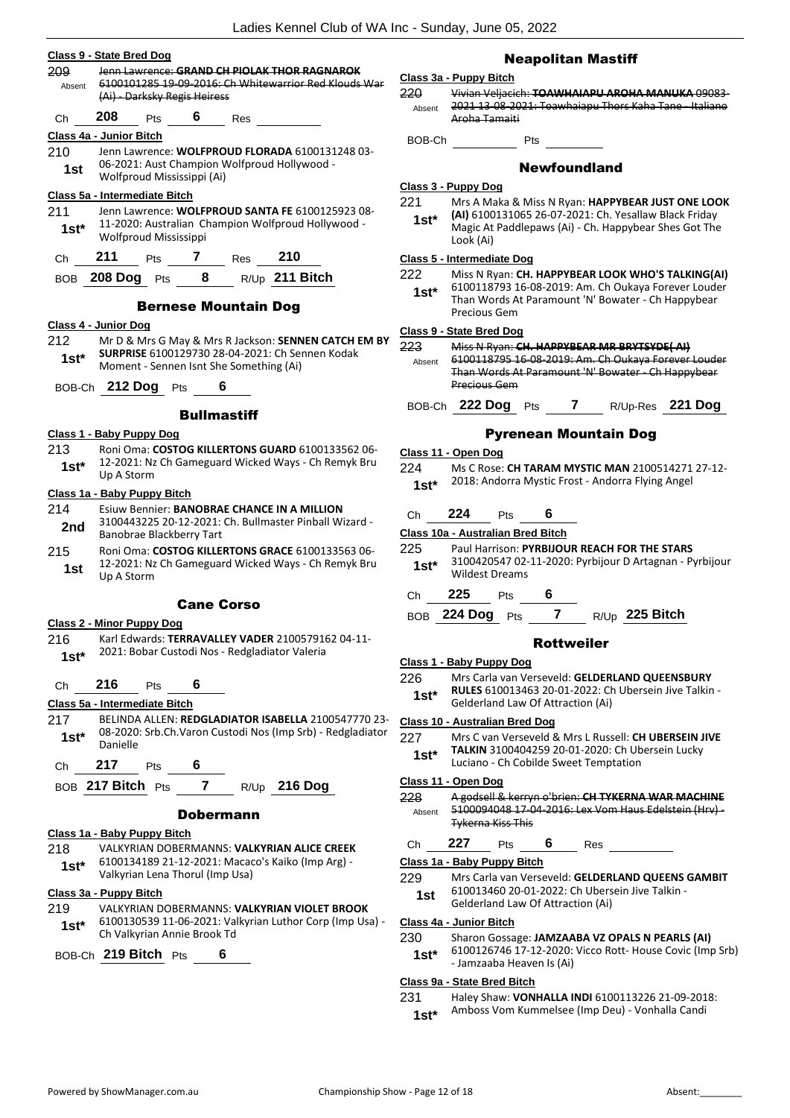# **Class 9 - State Bred Dog**

|         | Class 9 - State Bred Dog      |                              |                    |                                         |                                                                                                                 |  |
|---------|-------------------------------|------------------------------|--------------------|-----------------------------------------|-----------------------------------------------------------------------------------------------------------------|--|
| Absent  |                               | (Ai) - Darksky Regis Heiress |                    |                                         | <b>209 Frantawrence: GRAND CH PIOLAK THOR RAGNAROK</b><br>6100101285 19-09-2016: Ch Whitewarrior Red Klouds War |  |
| Ch      |                               |                              |                    | 208 Pts 6 Res                           |                                                                                                                 |  |
|         | Class 4a - Junior Bitch       |                              |                    |                                         |                                                                                                                 |  |
|         |                               |                              |                    |                                         | 210 Jenn Lawrence: WOLFPROUD FLORADA 6100131248 03-                                                             |  |
|         |                               | Wolfproud Mississippi (Ai)   |                    |                                         | 1st 06-2021: Aust Champion Wolfproud Hollywood -                                                                |  |
|         | Class 5a - Intermediate Bitch |                              |                    |                                         |                                                                                                                 |  |
| 211     |                               |                              |                    |                                         | Jenn Lawrence: WOLFPROUD SANTA FE 6100125923 08-                                                                |  |
|         | Wolfproud Mississippi         |                              |                    |                                         | 1st* 11-2020: Australian Champion Wolfproud Hollywood -                                                         |  |
|         |                               |                              |                    |                                         |                                                                                                                 |  |
|         |                               |                              |                    |                                         | Ch 211 Pts 7 Res 210<br>BOB 208 Dog Pts 8 R/Up 211 Bitch                                                        |  |
|         |                               |                              |                    | <b>Bernese Mountain Dog</b>             |                                                                                                                 |  |
|         | Class 4 - Junior Dog          |                              |                    |                                         |                                                                                                                 |  |
|         |                               |                              |                    |                                         | 212 Mr D & Mrs G May & Mrs R Jackson: SENNEN CATCH EM BY                                                        |  |
| $1st^*$ |                               |                              |                    | Moment - Sennen Isnt She Something (Ai) | SURPRISE 6100129730 28-04-2021: Ch Sennen Kodak                                                                 |  |
|         | BOB-Ch 212 Dog Pts 6          |                              |                    |                                         |                                                                                                                 |  |
|         |                               |                              | <b>Bullmastiff</b> |                                         |                                                                                                                 |  |
|         | Class 1 - Baby Puppy Dog      |                              |                    |                                         |                                                                                                                 |  |
|         |                               |                              |                    |                                         | 213 Roni Oma: COSTOG KILLERTONS GUARD 6100133562 06-                                                            |  |
|         | Up A Storm                    |                              |                    |                                         | 1st* 12-2021: Nz Ch Gameguard Wicked Ways - Ch Remyk Bru                                                        |  |

#### **Class 1a - Baby Puppy Bitch**

# 214 Esiuw Bennier: **BANOBRAE CHANCE IN A MILLION**

- 3100443225 20-12-2021: Ch. Bullmaster Pinball Wizard **2nd** 3100443225 20-12-2021:<br>Banobrae Blackberry Tart
- 215 Roni Oma: **COSTOG KILLERTONS GRACE** 6100133563 06- 12-2021: Nz Ch Gameguard Wicked Ways - Ch Remyk Bru 1st <sup>12-2021: N<sub>4</sub></sup>

# Cane Corso

# **Class 2 - Minor Puppy Dog**

216 Karl Edwards: **TERRAVALLEY VADER** 2100579162 04-11- 2021: Bobar Custodi Nos - Redgladiator Valeria **1st\***

### Ch **216** Pts **6**

# **Class 5a - Intermediate Bitch**

- 217 BELINDA ALLEN: **REDGLADIATOR ISABELLA** 2100547770 23- 08-2020: Srb.Ch.Varon Custodi Nos (Imp Srb) - Redgladiator 1st<sup>\*</sup> <sup>U8-2020</sup><br>Danielle
- Ch **217** Pts **6**
- BOB **217 Bitch** Pts **7** R/Up **216 Dog**

### Dobermann

# **Class 1a - Baby Puppy Bitch**

- 218 VALKYRIAN DOBERMANNS: **VALKYRIAN ALICE CREEK** 6100134189 21-12-2021: Macaco's Kaiko (Imp Arg) -
- Valkyrian Lena Thorul (Imp Usa) **1st\***

# **Class 3a - Puppy Bitch**

219 VALKYRIAN DOBERMANNS: **VALKYRIAN VIOLET BROOK** 6100130539 11-06-2021: Valkyrian Luthor Corp (Imp Usa) - Ch Valkyrian Annie Brook Td **1st\***

BOB-Ch **219 Bitch** Pts **6**

# Neapolitan Mastiff

# **Class 3a - Puppy Bitch**

220 Vivian Veljacich: **TOAWHAIAPU AROHA MANUKA** 09083- 2021 13-08-2021: Toawhaiapu Thors Kaha Tane - Italiano Aroha Tamaiti Absent

BOB-Ch Pts

# Newfoundland

# **Class 3 - Puppy Dog**

221 Mrs A Maka & Miss N Ryan: **HAPPYBEAR JUST ONE LOOK (AI)** 6100131065 26-07-2021: Ch. Yesallaw Black Friday Magic At Paddlepaws (Ai) - Ch. Happybear Shes Got The Look (Ai) **1st\***

# **Class 5 - Intermediate Dog**

#### 222 Miss N Ryan: **CH. HAPPYBEAR LOOK WHO'S TALKING(AI)**

6100118793 16-08-2019: Am. Ch Oukaya Forever Louder Than Words At Paramount 'N' Bowater - Ch Happybear Precious Gem **1st\***

#### **Class 9 - State Bred Dog**

223 Miss N Ryan: **CH. HAPPYBEAR MR BRYTSYDE( AI)** 6100118795 16-08-2019: Am. Ch Oukaya Forever Louder Than Words At Paramount 'N' Bowater - Ch Happybear Precious Gem Absent

# BOB-Ch **222 Dog** Pts **7** R/Up-Res **221 Dog**

# Pyrenean Mountain Dog

#### **Class 11 - Open Dog**

224 Ms C Rose: **CH TARAM MYSTIC MAN** 2100514271 27-12- 2018: Andorra Mystic Frost - Andorra Flying Angel **1st\***

# Ch **224** Pts **6**

# **Class 10a - Australian Bred Bitch**

- 225 Paul Harrison: **PYRBIJOUR REACH FOR THE STARS**
- 3100420547 02-11-2020: Pyrbijour D Artagnan Pyrbijour 1st<sup>\*</sup> <sup>3100420547</sup><br>Wildest Dreams
- Ch **225** Pts **6**
- BOB **224 Dog** Pts **7** R/Up **225 Bitch**

#### Rottweiler

# **Class 1 - Baby Puppy Dog**

- 226 Mrs Carla van Verseveld: **GELDERLAND QUEENSBURY**
- **RULES** 610013463 20-01-2022: Ch Ubersein Jive Talkin Gelderland Law Of Attraction (Ai) **1st\***

# **Class 10 - Australian Bred Dog**

- 227 Mrs C van Verseveld & Mrs L Russell: **CH UBERSEIN JIVE** 
	- **TALKIN** 3100404259 20-01-2020: Ch Ubersein Lucky Luciano - Ch Cobilde Sweet Temptation **1st\***
	-

# **Class 11 - Open Dog**

- 228 A godsell & kerryn o'brien: **CH TYKERNA WAR MACHINE** 5100094048 17-04-2016: Lex Vom Haus Edelstein (Hrv) - Tykerna Kiss This Absent
- Ch **227** Pts **6** Res

# **Class 1a - Baby Puppy Bitch**

- 229 Mrs Carla van Verseveld: **GELDERLAND QUEENS GAMBIT** 610013460 20-01-2022: Ch Ubersein Jive Talkin -
	- Gelderland Law Of Attraction (Ai) **1st**

### **Class 4a - Junior Bitch**

- 230 Sharon Gossage: **JAMZAABA VZ OPALS N PEARLS (AI)**
- 6100126746 17-12-2020: Vicco Rott- House Covic (Imp Srb) - Jamzaaba Heaven Is (Ai) **1st\***

# **Class 9a - State Bred Bitch**

- 231 Haley Shaw: **VONHALLA INDI** 6100113226 21-09-2018:
	- Amboss Vom Kummelsee (Imp Deu) Vonhalla Candi **1st\***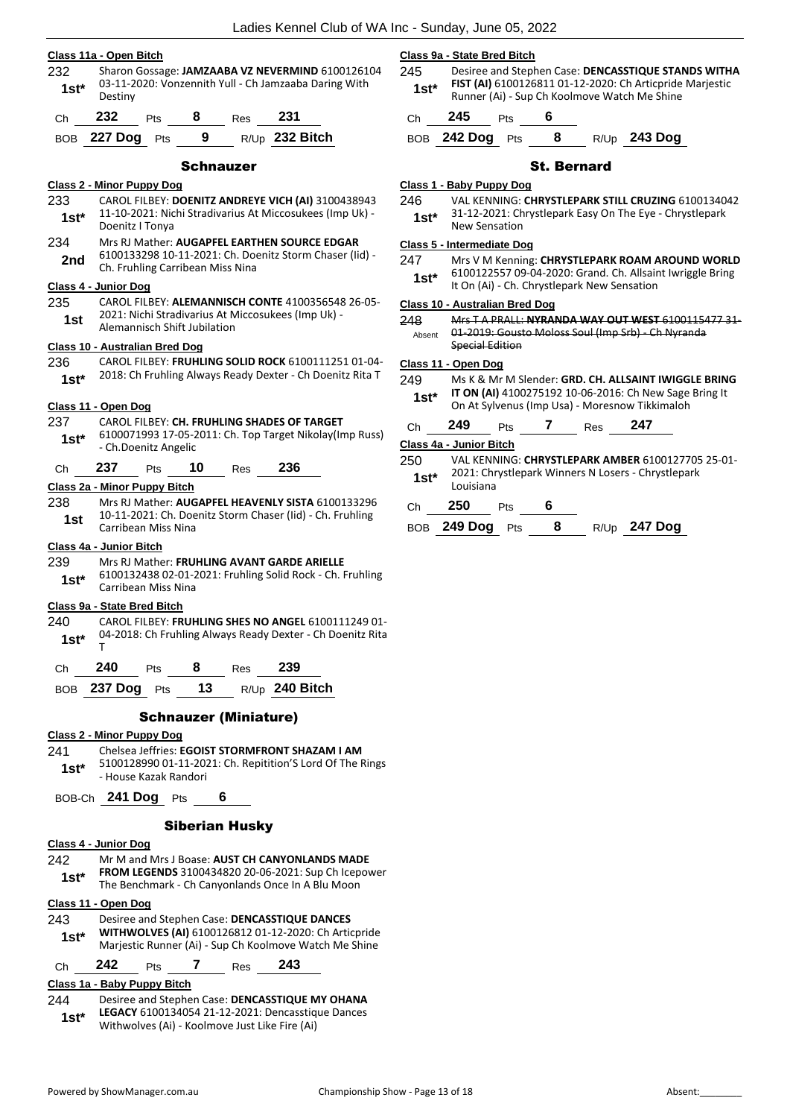# **Class 11a - Open Bitch**

232 Sharon Gossage: **JAMZAABA VZ NEVERMIND** 6100126104 03-11-2020: Vonzennith Yull - Ch Jamzaaba Daring With 1st<sup>\*</sup> Destiny

| Ch | 232             | <b>Pts</b> | 8   | Res | 231              |
|----|-----------------|------------|-----|-----|------------------|
|    | BOB 227 Dog Pts |            | - 9 |     | $R/Up$ 232 Bitch |

#### Schnauzer

### **Class 2 - Minor Puppy Dog**

- 233 CAROL FILBEY: **DOENITZ ANDREYE VICH (AI)** 3100438943 11-10-2021: Nichi Stradivarius At Miccosukees (Imp Uk) - Doenitz I Tonya **1st\***
- 234 Mrs RJ Mather: **AUGAPFEL EARTHEN SOURCE EDGAR** 6100133298 10-11-2021: Ch. Doenitz Storm Chaser (Iid) - 2nd b100133298 10-11-2021: Cn. Dow<br>Ch. Fruhling Carribean Miss Nina

# **Class 4 - Junior Dog**

235 CAROL FILBEY: **ALEMANNISCH CONTE** 4100356548 26-05- 2021: Nichi Stradivarius At Miccosukees (Imp Uk) - **1st 2021: Nichi Stradivarius At IV**<br>Alemannisch Shift Jubilation

#### **Class 10 - Australian Bred Dog**

- 236 CAROL FILBEY: **FRUHLING SOLID ROCK** 6100111251 01-04-
	- 2018: Ch Fruhling Always Ready Dexter Ch Doenitz Rita T **1st\***

### **Class 11 - Open Dog**

- 237 CAROL FILBEY: **CH. FRUHLING SHADES OF TARGET** 6100071993 17-05-2011: Ch. Top Target Nikolay(Imp Russ) - Ch.Doenitz Angelic **1st\***
- Ch **237** Pts **10** Res **236**

# **Class 2a - Minor Puppy Bitch**

238 Mrs RJ Mather: **AUGAPFEL HEAVENLY SISTA** 6100133296 10-11-2021: Ch. Doenitz Storm Chaser (Iid) - Ch. Fruhling **1st 10-11-2021**: Cn. Doe<br>Carribean Miss Nina

# **Class 4a - Junior Bitch**

239 Mrs RJ Mather: **FRUHLING AVANT GARDE ARIELLE** 6100132438 02-01-2021: Fruhling Solid Rock - Ch. Fruhling Carribean Miss Nina **1st\***

#### **Class 9a - State Bred Bitch**

240 CAROL FILBEY: **FRUHLING SHES NO ANGEL** 6100111249 01- 04-2018: Ch Fruhling Always Ready Dexter - Ch Doenitz Rita T **1st\*** Ch **240** Pts **8** Res **239**

|  | BOB 237 Dog Pts |  | 13 |  | R/Up 240 Bitch |
|--|-----------------|--|----|--|----------------|
|--|-----------------|--|----|--|----------------|

# Schnauzer (Miniature)

#### **Class 2 - Minor Puppy Dog**

- 241 Chelsea Jeffries: **EGOIST STORMFRONT SHAZAM I AM** 5100128990 01-11-2021: Ch. Repitition'S Lord Of The Rings - House Kazak Randori **1st\***
- BOB-Ch **241 Dog** Pts **6**

# Siberian Husky

#### **Class 4 - Junior Dog**

- 242 Mr M and Mrs J Boase: **AUST CH CANYONLANDS MADE FROM LEGENDS** 3100434820 20-06-2021: Sup Ch Icepower
	- **1st\*** FRUM LEGENDS 3100434820 20-06-2021: Sup Ch Icep<br>The Benchmark Ch Canyonlands Once In A Blu Moon

#### **Class 11 - Open Dog**

243 Desiree and Stephen Case: **DENCASSTIQUE DANCES WITHWOLVES (AI)** 6100126812 01-12-2020: Ch Articpride 1st\* **WITHWOLVES (AI)** 6100126812 01-12-2020: Ch Articpride<br>Marjestic Runner (Ai) - Sup Ch Koolmove Watch Me Shine

# Ch **242** Pts **7** Res **243**

# **Class 1a - Baby Puppy Bitch**

- 244 Desiree and Stephen Case: **DENCASSTIQUE MY OHANA LEGACY** 6100134054 21-12-2021: Dencasstique Dances Withwolves (Ai) - Koolmove Just Like Fire (Ai) **1st\***
	-

# **Class 9a - State Bred Bitch**

245 Desiree and Stephen Case: **DENCASSTIQUE STANDS WITHA FIST (AI)** 6100126811 01-12-2020: Ch Articpride Marjestic Runner (Ai) - Sup Ch Koolmove Watch Me Shine **1st\***

# Ch **245** Pts **6**

BOB **242 Dog** Pts **8** R/Up **243 Dog**

# St. Bernard

#### **Class 1 - Baby Puppy Dog**

246 VAL KENNING: **CHRYSTLEPARK STILL CRUZING** 6100134042 31-12-2021: Chrystlepark Easy On The Eye - Chrystlepark 1st<sup>\*</sup> Mew Sensation

#### **Class 5 - Intermediate Dog**

247 Mrs V M Kenning: **CHRYSTLEPARK ROAM AROUND WORLD** 6100122557 09-04-2020: Grand. Ch. Allsaint Iwriggle Bring **1st**\* bubbles buying the children of the children of the children of the children of the children of the children of the children of the children of the children of the children of the children of the children of the chil

#### **Class 10 - Australian Bred Dog**

248 Mrs T A PRALL: **NYRANDA WAY OUT WEST** 6100115477 31- 01-2019: Gousto Moloss Soul (Imp Srb) - Ch Nyranda Special Edition Absent

#### **Class 11 - Open Dog**

- 249 Ms K & Mr M Slender: **GRD. CH. ALLSAINT IWIGGLE BRING IT ON (AI)** 4100275192 10-06-2016: Ch New Sage Bring It
	- On At Sylvenus (Imp Usa) Moresnow Tikkimaloh **1st\***

| -<br>__ | w | ___ |  |
|---------|---|-----|--|
|         |   |     |  |

#### **Class 4a - Junior Bitch**

250 VAL KENNING: **CHRYSTLEPARK AMBER** 6100127705 25-01- 2021: Chrystlepark Winners N Losers - Chrystlepark Louisiana **1st\***

| Ch | 250 | Pts | 6 |
|----|-----|-----|---|
|    |     |     |   |

BOB **249 Dog** Pts **8** R/Up **247 Dog**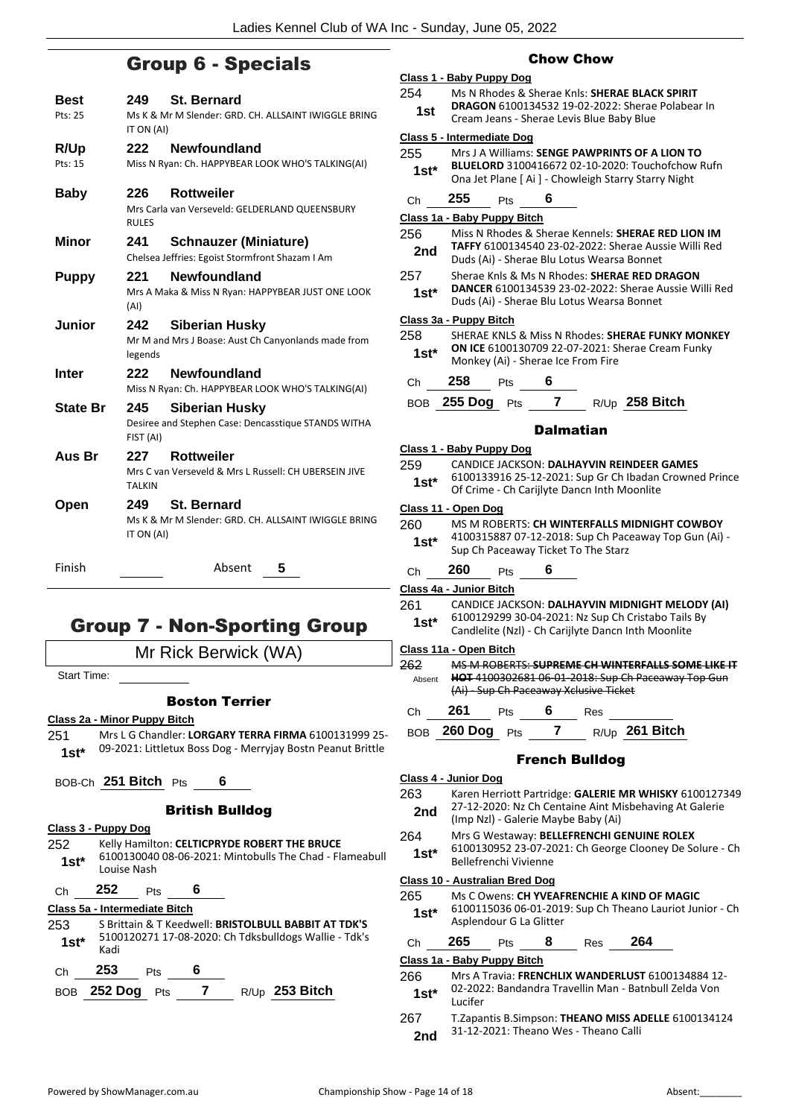# Group 6 - Specials

| Best<br>Pts: 25 | 249.<br>IT ON (AI)   | <b>St. Bernard</b><br>Ms K & Mr M Slender: GRD, CH, ALLSAINT IWIGGLE BRING      |
|-----------------|----------------------|---------------------------------------------------------------------------------|
| <b>R/Up</b>     | 222                  | <b>Newfoundland</b>                                                             |
| Pts: 15         |                      | Miss N Ryan: Ch. HAPPYBEAR LOOK WHO'S TALKING(AI)                               |
| Baby            | 226<br><b>RULES</b>  | <b>Rottweiler</b><br>Mrs Carla van Verseveld: GELDERLAND QUEENSBURY             |
| Minor           | 241                  | <b>Schnauzer (Miniature)</b><br>Chelsea Jeffries: Egoist Stormfront Shazam I Am |
| <b>Puppy</b>    | 221<br>(AI)          | <b>Newfoundland</b><br>Mrs A Maka & Miss N Ryan: HAPPYBEAR JUST ONE LOOK        |
| Junior          | 242<br>legends       | <b>Siberian Husky</b><br>Mr M and Mrs J Boase: Aust Ch Canyonlands made from    |
| Inter           | 222                  | <b>Newfoundland</b><br>Miss N Ryan: Ch. HAPPYBEAR LOOK WHO'S TALKING(AI)        |
| <b>State Br</b> | 245<br>FIST (AI)     | Siberian Husky<br>Desiree and Stephen Case: Dencasstique STANDS WITHA           |
| Aus Br          | 227<br><b>TALKIN</b> | <b>Rottweiler</b><br>Mrs C van Verseveld & Mrs L Russell: CH UBERSEIN JIVE      |
| Open            | 249<br>IT ON (AI)    | St. Bernard<br>Ms K & Mr M Slender: GRD, CH, ALLSAINT IWIGGLE BRING             |
| Finish          |                      | Absent<br>5                                                                     |
|                 |                      |                                                                                 |

# Group 7 - Non-Sporting Group

Mr Rick Berwick (WA)

Start Time:

# Boston Terrier

- **Class 2a - Minor Puppy Bitch**
- 251 Mrs L G Chandler: **LORGARY TERRA FIRMA** 6100131999 25- 09-2021: Littletux Boss Dog - Merryjay Bostn Peanut Brittle **1st\***
- BOB-Ch **251 Bitch** Pts **6**

# British Bulldog

| Class 3 - Puppy Dog |             |            |   |                                                         |
|---------------------|-------------|------------|---|---------------------------------------------------------|
| 252.                |             |            |   | Kelly Hamilton: CELTICPRYDE ROBERT THE BRUCE            |
| $1st*$              | Louise Nash |            |   | 6100130040 08-06-2021: Mintobulls The Chad - Flameabull |
| Ch                  | 252         | <b>Pts</b> | Б |                                                         |

# **Class 5a - Intermediate Bitch**

| 253    |                 |            |   | S Brittain & T Keedwell: BRISTOLBULL BABBIT AT TDK'S<br>5100120271 17-08-2020: Ch Tdksbulldogs Wallie - Tdk's |  |
|--------|-----------------|------------|---|---------------------------------------------------------------------------------------------------------------|--|
| $1st*$ | Kadi            |            |   |                                                                                                               |  |
| Ch     | 253             | <b>Pts</b> | 6 |                                                                                                               |  |
|        | BOB 252 Dog Pts |            |   | $R/Up$ 253 Bitch                                                                                              |  |

# Chow Chow

# **Class 1 - Baby Puppy Dog**

- 254 Ms N Rhodes & Sherae Knls: **SHERAE BLACK SPIRIT DRAGON** 6100134532 19-02-2022: Sherae Polabear In
	- **1st DRAGON** 6100134532 19-02-2022: Sherae<br>Cream Jeans Sherae Levis Blue Baby Blue

# **Class 5 - Intermediate Dog**

| 255    | Mrs J A Williams: SENGE PAWPRINTS OF A LION TO       |
|--------|------------------------------------------------------|
| $1st*$ | BLUELORD 3100416672 02-10-2020: Touchofchow Rufn     |
|        | Ona Jet Plane [ Ai ] - Chowleigh Starry Starry Night |

Ch **255** Pts **6**

# **Class 1a - Baby Puppy Bitch**

# 256 Miss N Rhodes & Sherae Kennels: **SHERAE RED LION IM TAFFY** 6100134540 23-02-2022: Sherae Aussie Willi Red

- 2nd **IAFFY 6100134540 23-02-2022** Stierae Aust<br>Duds (Ai) Sherae Blu Lotus Wearsa Bonnet
- 257 Sherae Knls & Ms N Rhodes: **SHERAE RED DRAGON DANCER** 6100134539 23-02-2022: Sherae Aussie Willi Red
	- **1st\* DANCER 0100134559 23-02-2022: Sherae A**<br>Duds (Ai) Sherae Blu Lotus Wearsa Bonnet

# **Class 3a - Puppy Bitch**

|        |            |                    | SHERAE KNLS & Miss N Rhodes: SHERAE FUNKY MONKEY                                              |
|--------|------------|--------------------|-----------------------------------------------------------------------------------------------|
| $1st*$ |            |                    |                                                                                               |
|        |            |                    |                                                                                               |
| 258    | Pts        |                    |                                                                                               |
|        | <b>Pts</b> |                    | $R/Up$ 258 Bitch                                                                              |
|        |            | <b>BOB</b> 255 Dog | <b>ON ICE 6100130709 22-07-2021: Sherae Cream Funky</b><br>Monkey (Ai) - Sherae Ice From Fire |

# **Dalmatian**

|        | Class 1 - Baby Puppy Dog                                                                              |
|--------|-------------------------------------------------------------------------------------------------------|
| 259    | CANDICE JACKSON: DALHAYVIN REINDEER GAMES                                                             |
| $1st*$ | 6100133916 25-12-2021: Sup Gr Ch Ibadan Crowned Prince<br>Of Crime - Ch Carijlyte Dancn Inth Moonlite |

#### **Class 11 - Open Dog**

| 260    | MS M ROBERTS: CH WINTERFALLS MIDNIGHT COWBOY          |
|--------|-------------------------------------------------------|
| $1st*$ | 4100315887 07-12-2018: Sup Ch Paceaway Top Gun (Ai) - |
|        | Sup Ch Paceaway Ticket To The Starz                   |

# Ch **260** Pts **6**

**Class 4a - Junior Bitch**

261 CANDICE JACKSON: **DALHAYVIN MIDNIGHT MELODY (AI)** 6100129299 30-04-2021: Nz Sup Ch Cristabo Tails By Candlelite (Nzl) - Ch Carijlyte Dancn Inth Moonlite **1st\***

# **Class 11a - Open Bitch**

262 MS M ROBERTS: **SUPREME CH WINTERFALLS SOME LIKE IT HOT** 4100302681 06-01-2018: Sup Ch Paceaway Top Gun (Ai) - Sup Ch Paceaway Xclusive Ticket Absent

Ch **261** Pts **6** Res BOB **260 Dog** Pts **7** R/Up **261 Bitch**

# French Bulldog

# **Class 4 - Junior Dog**

| 263 | Karen Herriott Partridge: GALERIE MR WHISKY 6100127349 |
|-----|--------------------------------------------------------|
| 2nd | 27-12-2020: Nz Ch Centaine Aint Misbehaving At Galerie |

- (Imp Nzl) Galerie Maybe Baby (Ai) **2nd**
- 264 Mrs G Westaway: **BELLEFRENCHI GENUINE ROLEX** 6100130952 23-07-2021: Ch George Clooney De Solure - Ch Bellefrenchi Vivienne **1st\***

# **Class 10 - Australian Bred Dog**

- 265 Ms C Owens: **CH YVEAFRENCHIE A KIND OF MAGIC** 6100115036 06-01-2019: Sup Ch Theano Lauriot Junior - Ch Asplendour G La Glitter **1st\***
- Ch **265** Pts **8** Res **264**

# **Class 1a - Baby Puppy Bitch**

| 266    | Mrs A Travia: FRENCHLIX WANDERLUST 6100134884 12-     |
|--------|-------------------------------------------------------|
| $1st*$ | 02-2022: Bandandra Travellin Man - Batnbull Zelda Von |
|        | Lucifer                                               |

267 T.Zapantis B.Simpson: **THEANO MISS ADELLE** 6100134124 2nd 31-12-2021: Theano Wes - Theano Calli

- 
-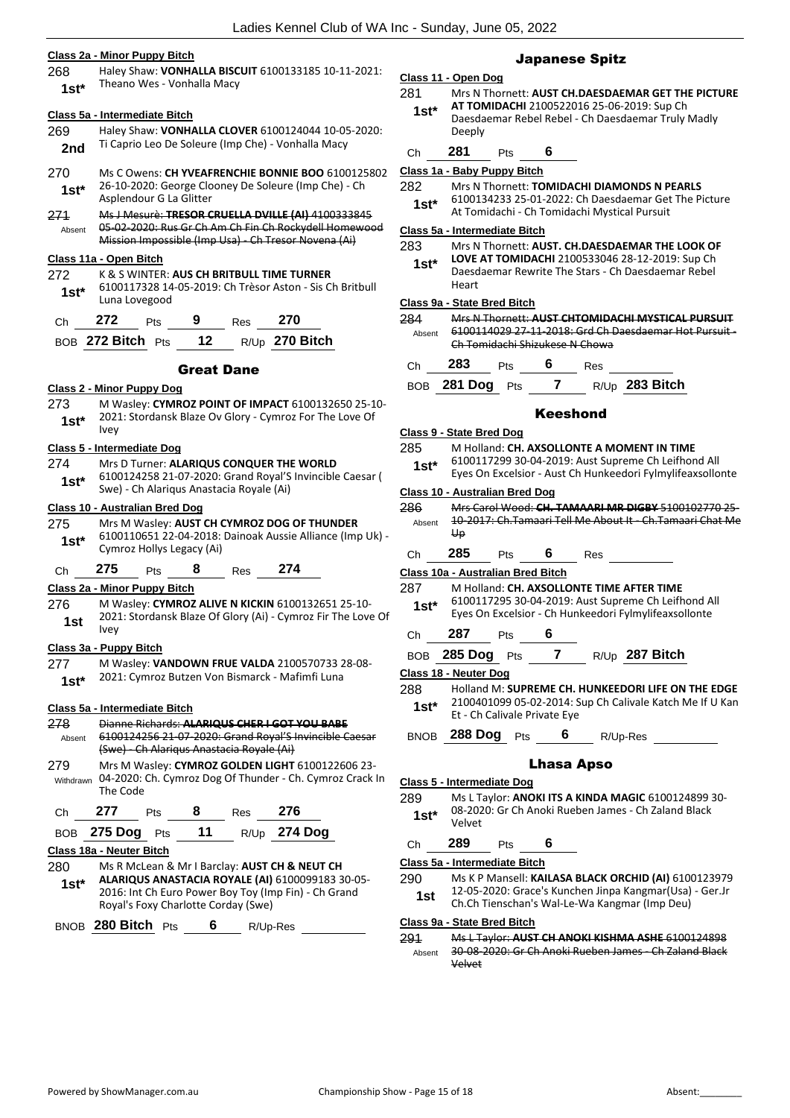# **Class 2a - Minor Puppy Bitch**

268 Haley Shaw: **VONHALLA BISCUIT** 6100133185 10-11-2021: 1st\* Theano Wes - Vonhalla Macy

|                        |                                                                                                                                                                         | Class 5a - Intermediate Bitch                                                                                                        |            |     |                  |  |  |
|------------------------|-------------------------------------------------------------------------------------------------------------------------------------------------------------------------|--------------------------------------------------------------------------------------------------------------------------------------|------------|-----|------------------|--|--|
| 269<br>2nd             |                                                                                                                                                                         | Haley Shaw: VONHALLA CLOVER 6100124044 10-05-2020:<br>Ti Caprio Leo De Soleure (Imp Che) - Vonhalla Macy                             |            |     |                  |  |  |
| 270<br>$1st^*$         |                                                                                                                                                                         | Ms C Owens: CH YVEAFRENCHIE BONNIE BOO 6100125802<br>26-10-2020: George Clooney De Soleure (Imp Che) - Ch<br>Asplendour G La Glitter |            |     |                  |  |  |
| 271<br>Absent          | <u> Ms J Mesurè: TRESOR CRUELLA DVILLE (AI) 410033</u><br>05-02-2020: Rus Gr Ch Am Ch Fin Ch Rockydell Homewood<br>Mission Impossible (Imp Usa) - Ch Tresor Novena (Ai) |                                                                                                                                      |            |     |                  |  |  |
| Class 11a - Open Bitch |                                                                                                                                                                         |                                                                                                                                      |            |     |                  |  |  |
| 272<br>$1st^*$         | K & S WINTER: AUS CH BRITBULL TIME TURNER<br>6100117328 14-05-2019: Ch Trèsor Aston - Sis Ch Britbull<br>Luna Lovegood                                                  |                                                                                                                                      |            |     |                  |  |  |
| Сh                     | 272                                                                                                                                                                     | Pts                                                                                                                                  |            | Res | 270              |  |  |
|                        | BOB 272 Bitch Pts                                                                                                                                                       |                                                                                                                                      | 12         |     | $R/Up$ 270 Bitch |  |  |
|                        |                                                                                                                                                                         |                                                                                                                                      | Great Dane |     |                  |  |  |

#### **Class 2 - Minor Puppy Dog**

273 M Wasley: **CYMROZ POINT OF IMPACT** 6100132650 25-10- 2021: Stordansk Blaze Ov Glory - Cymroz For The Love Of  $1$ st<sup>\*</sup>  $\frac{202}{1}$ 

# **Class 5 - Intermediate Dog**

274 Mrs D Turner: **ALARIQUS CONQUER THE WORLD** 6100124258 21-07-2020: Grand Royal'S Invincible Caesar ( Swe) - Ch Alariqus Anastacia Royale (Ai) **1st\***

# **Class 10 - Australian Bred Dog**

- 275 Mrs M Wasley: **AUST CH CYMROZ DOG OF THUNDER** 6100110651 22-04-2018: Dainoak Aussie Alliance (Imp Uk) - 1st\* b<sup>100110651</sup><sub>22</sub>-04-2018:<br>Cymroz Hollys Legacy (Ai)
- Ch **275** Pts **8** Res **274**

# **Class 2a - Minor Puppy Bitch**

276 M Wasley: **CYMROZ ALIVE N KICKIN** 6100132651 25-10- 2021: Stordansk Blaze Of Glory (Ai) - Cymroz Fir The Love Of Ivey **1st**

# **Class 3a - Puppy Bitch**

277 M Wasley: **VANDOWN FRUE VALDA** 2100570733 28-08- 2021: Cymroz Butzen Von Bismarck - Mafimfi Luna **1st\***

#### **Class 5a - Intermediate Bitch**

- 278 Dianne Richards: **ALARIQUS CHER I GOT YOU BABE** 6100124256 21-07-2020: Grand Royal'S Invincible Caesar (Swe) Ch Alariqus Anastacia Royale (Ai) Absent 279 Mrs M Wasley: **CYMROZ GOLDEN LIGHT** 6100122606 23-
- 04-2020: Ch. Cymroz Dog Of Thunder Ch. Cymroz Crack In Withdrawn The Code

| Ch $277$ Pts       | 8 | Res 276 |                |
|--------------------|---|---------|----------------|
| BOB 275 Dog Pts 11 |   |         | $R/Up$ 274 Dog |

### **Class 18a - Neuter Bitch**

280 Ms R McLean & Mr I Barclay: **AUST CH & NEUT CH ALARIQUS ANASTACIA ROYALE (AI)** 6100099183 30-05- 2016: Int Ch Euro Power Boy Toy (Imp Fin) - Ch Grand Royal's Foxy Charlotte Corday (Swe) **1st\***

BNOB **280 Bitch** Pts **6** R/Up-Res

# Japanese Spitz

# **Class 11 - Open Dog**

281 Mrs N Thornett: **AUST CH.DAESDAEMAR GET THE PICTURE AT TOMIDACHI** 2100522016 25-06-2019: Sup Ch Daesdaemar Rebel Rebel - Ch Daesdaemar Truly Madly Deeply **1st\***

# Ch **281** Pts **6**

- **Class 1a - Baby Puppy Bitch**
- 282 Mrs N Thornett: **TOMIDACHI DIAMONDS N PEARLS**
- 6100134233 25-01-2022: Ch Daesdaemar Get The Picture At Tomidachi - Ch Tomidachi Mystical Pursuit **1st\***

### **Class 5a - Intermediate Bitch**

283 Mrs N Thornett: **AUST. CH.DAESDAEMAR THE LOOK OF LOVE AT TOMIDACHI** 2100533046 28-12-2019: Sup Ch Daesdaemar Rewrite The Stars - Ch Daesdaemar Rebel **1st\***

# Heart **Class 9a - State Bred Bitch**

| 284    | Mrs N Thornett: AUST CHTOMIDACHI MYSTICAL PURSUIT                                      |
|--------|----------------------------------------------------------------------------------------|
| Ahsent | 6100114029 27 11 2018: Grd Ch Daesdaemar Hot Pursuit<br>Ch Tomidachi Shizukese N Chowa |
|        |                                                                                        |

| - 283           |  | Res |                       |
|-----------------|--|-----|-----------------------|
| BOB 281 Dog Pts |  |     | R/Up <b>283 Bitch</b> |

# Keeshond

#### **Class 9 - State Bred Dog**

- 285 M Holland: **CH. AXSOLLONTE A MOMENT IN TIME**
- 6100117299 30-04-2019: Aust Supreme Ch Leifhond All Eyes On Excelsior - Aust Ch Hunkeedori Fylmylifeaxsollonte **1st\***

#### **Class 10 - Australian Bred Dog**

- 286 Mrs Carol Wood: **CH. TAMAARI MR DIGBY** 5100102770 25- 10-2017: Ch.Tamaari Tell Me About It - Ch.Tamaari Chat Me  $\overline{u}$ Absent
- Ch **285** Pts **6** Res

# **Class 10a - Australian Bred Bitch**

- 287 M Holland: **CH. AXSOLLONTE TIME AFTER TIME**
- 6100117295 30-04-2019: Aust Supreme Ch Leifhond All Eyes On Excelsior - Ch Hunkeedori Fylmylifeaxsollonte **1st\***
- Ch **287** Pts **6**
- BOB **285 Dog** Pts **7** R/Up **287 Bitch**

#### **Class 18 - Neuter Dog**

- 288 Holland M: **SUPREME CH. HUNKEEDORI LIFE ON THE EDGE** 2100401099 05-02-2014: Sup Ch Calivale Katch Me If U Kan Et - Ch Calivale Private Eye **1st\***
- 

BNOB **288 Dog** Pts **6** R/Up-Res

# Lhasa Apso

### **Class 5 - Intermediate Dog**

289 Ms L Taylor: **ANOKI ITS A KINDA MAGIC** 6100124899 30- 08-2020: Gr Ch Anoki Rueben James - Ch Zaland Black Velvet **1st\***

| Ch | 289 | Pts | 6 |  |
|----|-----|-----|---|--|
|    |     |     |   |  |

### **Class 5a - Intermediate Bitch**

290 Ms K P Mansell: **KAILASA BLACK ORCHID (AI)** 6100123979 12-05-2020: Grace's Kunchen Jinpa Kangmar(Usa) - Ger.Jr Ch.Ch Tienschan's Wal-Le-Wa Kangmar (Imp Deu) **1st**

### **Class 9a - State Bred Bitch**

291 Ms L Taylor: **AUST CH ANOKI KISHMA ASHE** 6100124898 30-08-2020: Gr Ch Anoki Rueben James - Ch Zaland Black Velvet Absent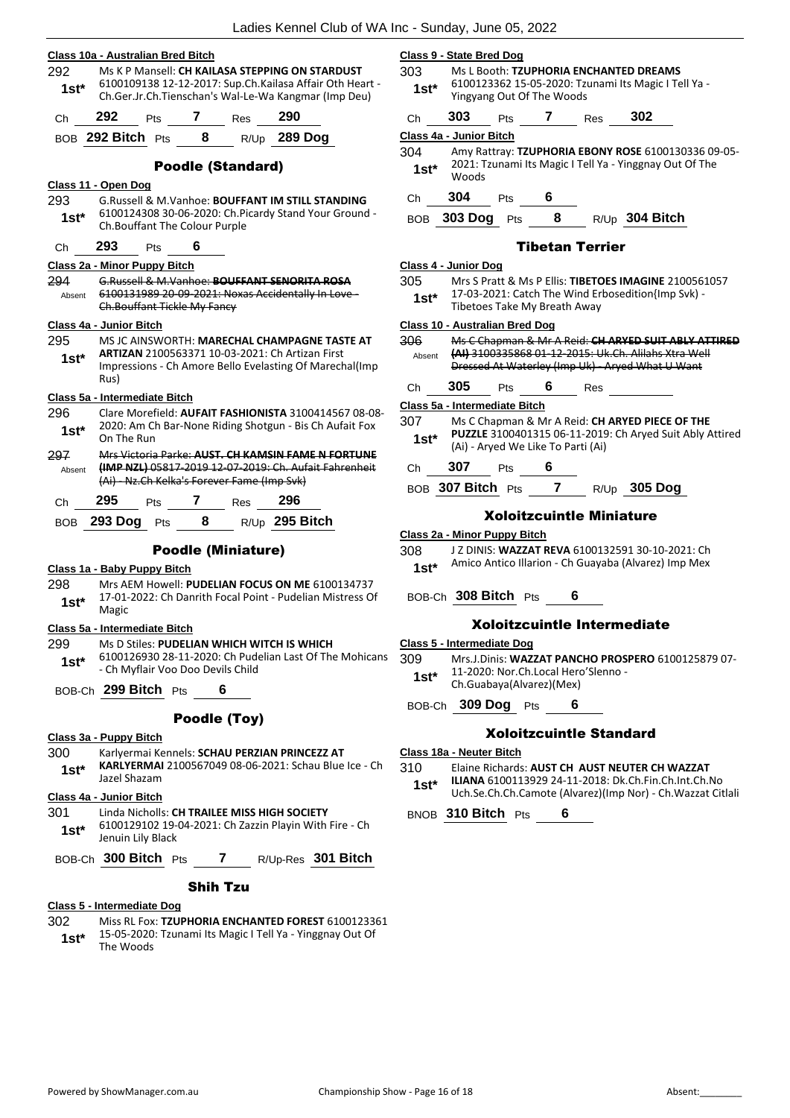|                |                                   |                                                                                                                                                             |                         |                          | Ladies Kennel Club of WA                                                                                                                                            |  |  |
|----------------|-----------------------------------|-------------------------------------------------------------------------------------------------------------------------------------------------------------|-------------------------|--------------------------|---------------------------------------------------------------------------------------------------------------------------------------------------------------------|--|--|
|                | Class 10a - Australian Bred Bitch |                                                                                                                                                             |                         |                          |                                                                                                                                                                     |  |  |
| 292<br>$1st^*$ |                                   |                                                                                                                                                             |                         |                          | Ms K P Mansell: CH KAILASA STEPPING ON STARDUST<br>6100109138 12-12-2017: Sup.Ch.Kailasa Affair Oth Heart -<br>Ch.Ger.Jr.Ch.Tienschan's Wal-Le-Wa Kangmar (Imp Deu) |  |  |
| Ch             | 292                               | Pts                                                                                                                                                         |                         | 7 Res                    | 290                                                                                                                                                                 |  |  |
|                | BOB 292 Bitch Pts                 |                                                                                                                                                             | $\overline{\mathbf{8}}$ |                          | R/Up 289 Dog                                                                                                                                                        |  |  |
|                |                                   |                                                                                                                                                             |                         | <b>Poodle (Standard)</b> |                                                                                                                                                                     |  |  |
|                | Class 11 - Open Dog               |                                                                                                                                                             |                         |                          |                                                                                                                                                                     |  |  |
| 293<br>$1st*$  |                                   | G.Russell & M.Vanhoe: BOUFFANT IM STILL STANDING<br>6100124308 30-06-2020: Ch.Picardy Stand Your Ground -<br>Ch.Bouffant The Colour Purple                  |                         |                          |                                                                                                                                                                     |  |  |
| Ch             | 293                               | Pts                                                                                                                                                         | 6                       |                          |                                                                                                                                                                     |  |  |
|                | Class 2a - Minor Puppy Bitch      |                                                                                                                                                             |                         |                          |                                                                                                                                                                     |  |  |
| 294<br>Absent  |                                   | G.Russell & M.Vanhoe: BOUFFANT SENORITA ROSA<br>6100131989 20 09 2021: Noxas Accidentally In Love-<br>Ch.Bouffant Tickle My Fancy                           |                         |                          |                                                                                                                                                                     |  |  |
|                | Class 4a - Junior Bitch           |                                                                                                                                                             |                         |                          |                                                                                                                                                                     |  |  |
| 295<br>$1st^*$ | Rus)                              |                                                                                                                                                             |                         |                          | MS JC AINSWORTH: <b>MARECHAL CHAMPAGNE TASTE AT</b><br>ARTIZAN 2100563371 10-03-2021: Ch Artizan First<br>Impressions - Ch Amore Bello Evelasting Of Marechal(Imp   |  |  |
|                | Class 5a - Intermediate Bitch     |                                                                                                                                                             |                         |                          |                                                                                                                                                                     |  |  |
| 296<br>1st*    | On The Run                        |                                                                                                                                                             |                         |                          | Clare Morefield: AUFAIT FASHIONISTA 3100414567 08-08-<br>2020: Am Ch Bar-None Riding Shotgun - Bis Ch Aufait Fox                                                    |  |  |
| 297<br>Absent  |                                   | Mrs Victoria Parke: AUST. CH KAMSIN FAME N FORTUNE<br>(IMP NZL) 05817 2019 12 07 2019: Ch. Aufait Fahrenheit<br>(Ai) - Nz.Ch Kelka's Forever Fame (Imp Svk) |                         |                          |                                                                                                                                                                     |  |  |
| Ch             | 295                               | Pts                                                                                                                                                         | 7                       | Res                      | 296                                                                                                                                                                 |  |  |

# Poodle (Miniature)

#### **Class 1a - Baby Puppy Bitch**

298 Mrs AEM Howell: **PUDELIAN FOCUS ON ME** 6100134737 17-01-2022: Ch Danrith Focal Point - Pudelian Mistress Of **1st**\*  $\frac{17-01}{\text{Magic}}$ 

#### **Class 5a - Intermediate Bitch**

299 Ms D Stiles: **PUDELIAN WHICH WITCH IS WHICH**

BOB **293 Dog** Pts **8** R/Up **295 Bitch**

6100126930 28-11-2020: Ch Pudelian Last Of The Mohicans - Ch Myflair Voo Doo Devils Child **1st\***

BOB-Ch **299 Bitch** Pts **6**

# Poodle (Toy)

# **Class 3a - Puppy Bitch**

- 300 Karlyermai Kennels: **SCHAU PERZIAN PRINCEZZ AT**
- **KARLYERMAI** 2100567049 08-06-2021: Schau Blue Ice Ch Jazel Shazam **1st\***

#### **Class 4a - Junior Bitch**

# 301 Linda Nicholls: **CH TRAILEE MISS HIGH SOCIETY**

- 6100129102 19-04-2021: Ch Zazzin Playin With Fire Ch Jenuin Lily Black **1st\***
- BOB-Ch **300 Bitch** Pts **7** R/Up-Res **301 Bitch**

# Shih Tzu

# **Class 5 - Intermediate Dog**

- 302 Miss RL Fox: **TZUPHORIA ENCHANTED FOREST** 6100123361
- 15-05-2020: Tzunami Its Magic I Tell Ya Yinggnay Out Of 1st<sup>\*</sup> <sup>15-05-2020</sup><br>The Woods

# **Class 9 - State Bred Dog**

- 303 Ms L Booth: **TZUPHORIA ENCHANTED DREAMS** 6100123362 15-05-2020: Tzunami Its Magic I Tell Ya - Yingyang Out Of The Woods **1st\***
- Ch **303** Pts **7** Res **302**

**Class 4a - Junior Bitch**

304 Amy Rattray: **TZUPHORIA EBONY ROSE** 6100130336 09-05- 2021: Tzunami Its Magic I Tell Ya - Yinggnay Out Of The Woods **1st\***

Ch **304** Pts **6**

BOB **303 Dog** Pts **8** R/Up **304 Bitch**

# Tibetan Terrier

# **Class 4 - Junior Dog**

- 305 Mrs S Pratt & Ms P Ellis: **TIBETOES IMAGINE** 2100561057
- 17-03-2021: Catch The Wind Erbosedition{Imp Svk) **1st\*** 17-03-2021: Catch The Wind Er<br>Tibetoes Take My Breath Away

# **Class 10 - Australian Bred Dog**

| 306<br>Absent |     |                                | Ms C Chapman & Mr A Reid: CH ARYED SUIT ABLY ATTIRED<br>(AI) 3100335868 01-12-2015: Uk.Ch. Alilahs Xtra Well<br>Dressed At Waterley (Imp Uk) - Aryed What U Want |
|---------------|-----|--------------------------------|------------------------------------------------------------------------------------------------------------------------------------------------------------------|
|               | 305 | Pts                            | Res                                                                                                                                                              |
|               |     | Clear Fr., Intennesibets Ditch |                                                                                                                                                                  |

**Class 5a - Intermediate Bitch**

- 307 Ms C Chapman & Mr A Reid: **CH ARYED PIECE OF THE PUZZLE** 3100401315 06-11-2019: Ch Aryed Suit Ably Attired (Ai) - Aryed We Like To Parti (Ai) **1st\***
- Ch **307** Pts **6**
- BOB **307 Bitch** Pts **7** R/Up **305 Dog**

# Xoloitzcuintle Miniature

# **Class 2a - Minor Puppy Bitch**

- 308 J Z DINIS: **WAZZAT REVA** 6100132591 30-10-2021: Ch
	- 1st\* Amico Antico Illarion Ch Guayaba (Alvarez) Imp Mex

### BOB-Ch **308 Bitch** Pts **6**

# Xoloitzcuintle Intermediate

- **Class 5 - Intermediate Dog**
- 309 Mrs.J.Dinis: **WAZZAT PANCHO PROSPERO** 6100125879 07- 11-2020: Nor.Ch.Local Hero'Slenno -
- 1st\* 11-2020: Nor.Ch.Local Heri<br>Ch.Guabaya(Alvarez)(Mex)

BOB-Ch **309 Dog** Pts **6**

# Xoloitzcuintle Standard

#### **Class 18a - Neuter Bitch**

310 Elaine Richards: **AUST CH AUST NEUTER CH WAZZAT ILIANA** 6100113929 24-11-2018: Dk.Ch.Fin.Ch.Int.Ch.No

Uch.Se.Ch.Ch.Camote (Alvarez)(Imp Nor) - Ch.Wazzat Citlali **1st\***

BNOB **310 Bitch** Pts **6**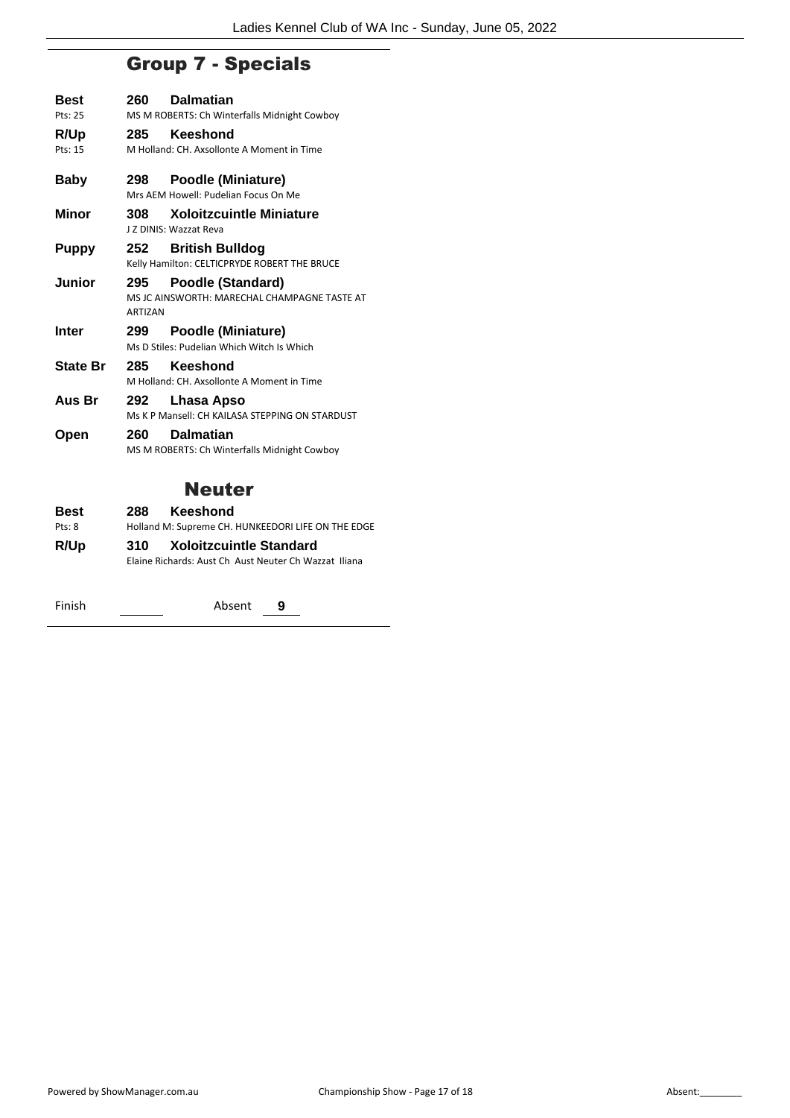# Group 7 - Specials

| <b>Best</b><br>Pts: 25 | 260                   | <b>Dalmatian</b><br>MS M ROBERTS: Ch Winterfalls Midnight Cowboy         |
|------------------------|-----------------------|--------------------------------------------------------------------------|
| R/Up<br>Pts: 15        | 285                   | <b>Keeshond</b><br>M Holland: CH. Axsollonte A Moment in Time            |
| Baby                   | 298                   | Poodle (Miniature)<br>Mrs AEM Howell: Pudelian Focus On Me               |
| Minor                  | 308                   | <b>Xoloitzcuintle Miniature</b><br>J Z DINIS: Wazzat Reva                |
| <b>Puppy</b>           | 252                   | <b>British Bulldog</b><br>Kelly Hamilton: CELTICPRYDE ROBERT THE BRUCE   |
| Junior                 | 295<br><b>ARTIZAN</b> | <b>Poodle (Standard)</b><br>MS JC AINSWORTH: MARECHAL CHAMPAGNE TASTE AT |
| Inter                  | 299                   | Poodle (Miniature)<br>Ms D Stiles: Pudelian Which Witch Is Which         |
| <b>State Br</b>        | 285                   | Keeshond<br>M Holland: CH. Axsollonte A Moment in Time                   |
| Aus Br                 | 292                   | Lhasa Apso<br>Ms K P Mansell: CH KAILASA STEPPING ON STARDUST            |
| Open                   | 260                   | Dalmatian<br>MS M ROBERTS: Ch Winterfalls Midnight Cowboy                |

# Neuter

| Best   | 288. | Keeshond                                                                                |
|--------|------|-----------------------------------------------------------------------------------------|
| Pts: 8 |      | Holland M: Supreme CH. HUNKEEDORI LIFE ON THE EDGE                                      |
| R/Up   | 310. | <b>Xoloitzcuintle Standard</b><br>Elaine Richards: Aust Ch Aust Neuter Ch Wazzat Iliana |
|        |      |                                                                                         |

Finish Absent **9**